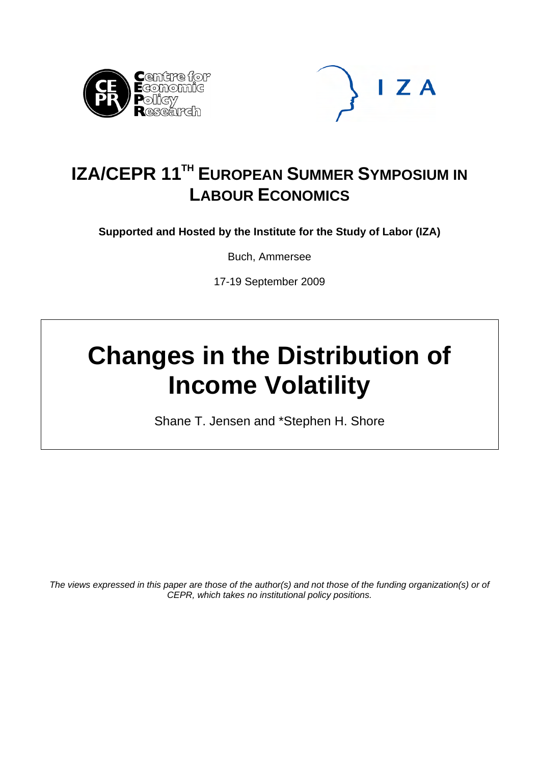



## **IZA/CEPR 11TH EUROPEAN SUMMER SYMPOSIUM IN LABOUR ECONOMICS**

**Supported and Hosted by the Institute for the Study of Labor (IZA)** 

Buch, Ammersee

17-19 September 2009

# **Changes in the Distribution of Income Volatility**

Shane T. Jensen and \*Stephen H. Shore

*The views expressed in this paper are those of the author(s) and not those of the funding organization(s) or of CEPR, which takes no institutional policy positions.*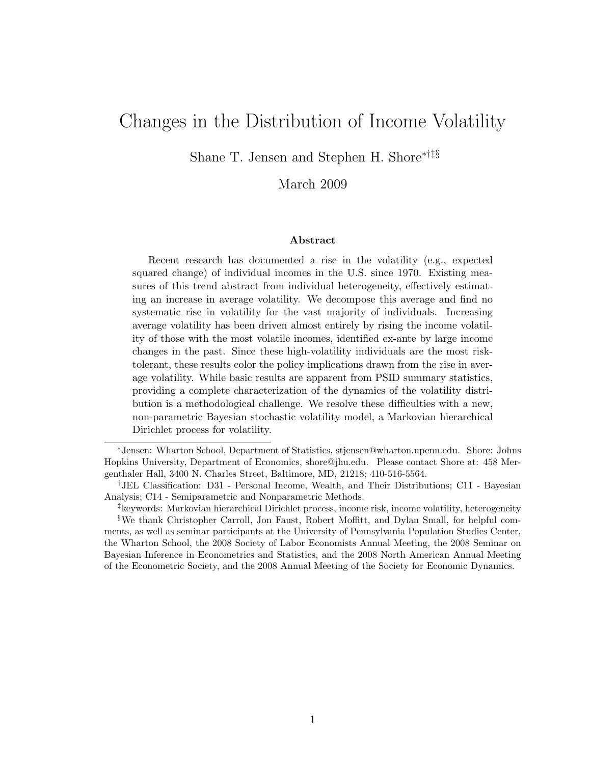## Changes in the Distribution of Income Volatility

Shane T. Jensen and Stephen H. Shore∗†‡§

#### March 2009

#### Abstract

Recent research has documented a rise in the volatility (e.g., expected squared change) of individual incomes in the U.S. since 1970. Existing measures of this trend abstract from individual heterogeneity, effectively estimating an increase in average volatility. We decompose this average and find no systematic rise in volatility for the vast majority of individuals. Increasing average volatility has been driven almost entirely by rising the income volatility of those with the most volatile incomes, identified ex-ante by large income changes in the past. Since these high-volatility individuals are the most risktolerant, these results color the policy implications drawn from the rise in average volatility. While basic results are apparent from PSID summary statistics, providing a complete characterization of the dynamics of the volatility distribution is a methodological challenge. We resolve these difficulties with a new, non-parametric Bayesian stochastic volatility model, a Markovian hierarchical Dirichlet process for volatility.

<sup>∗</sup>Jensen: Wharton School, Department of Statistics, stjensen@wharton.upenn.edu. Shore: Johns Hopkins University, Department of Economics, shore@jhu.edu. Please contact Shore at: 458 Mergenthaler Hall, 3400 N. Charles Street, Baltimore, MD, 21218; 410-516-5564.

<sup>†</sup>JEL Classification: D31 - Personal Income, Wealth, and Their Distributions; C11 - Bayesian Analysis; C14 - Semiparametric and Nonparametric Methods.

<sup>‡</sup>keywords: Markovian hierarchical Dirichlet process, income risk, income volatility, heterogeneity §We thank Christopher Carroll, Jon Faust, Robert Moffitt, and Dylan Small, for helpful comments, as well as seminar participants at the University of Pennsylvania Population Studies Center, the Wharton School, the 2008 Society of Labor Economists Annual Meeting, the 2008 Seminar on Bayesian Inference in Econometrics and Statistics, and the 2008 North American Annual Meeting of the Econometric Society, and the 2008 Annual Meeting of the Society for Economic Dynamics.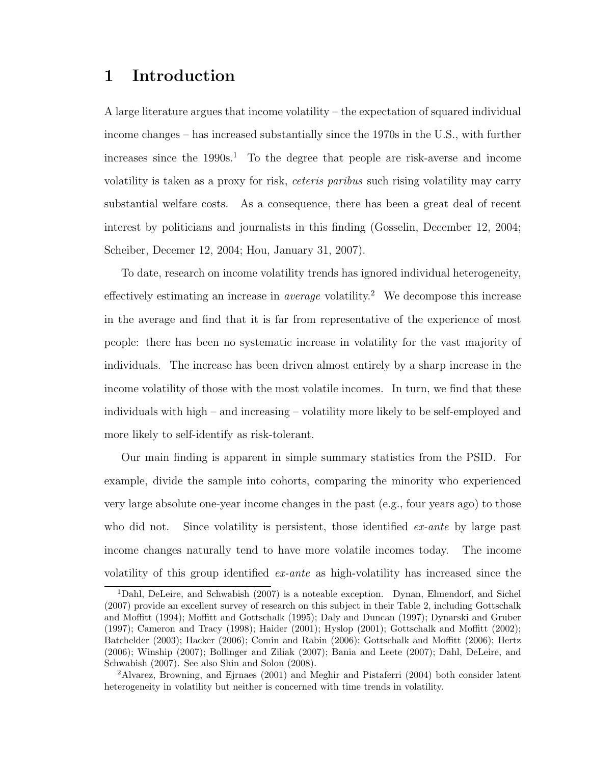## 1 Introduction

A large literature argues that income volatility – the expectation of squared individual income changes – has increased substantially since the 1970s in the U.S., with further increases since the  $1990s<sup>1</sup>$ . To the degree that people are risk-averse and income volatility is taken as a proxy for risk, ceteris paribus such rising volatility may carry substantial welfare costs. As a consequence, there has been a great deal of recent interest by politicians and journalists in this finding (Gosselin, December 12, 2004; Scheiber, Decemer 12, 2004; Hou, January 31, 2007).

To date, research on income volatility trends has ignored individual heterogeneity, effectively estimating an increase in *average* volatility.<sup>2</sup> We decompose this increase in the average and find that it is far from representative of the experience of most people: there has been no systematic increase in volatility for the vast majority of individuals. The increase has been driven almost entirely by a sharp increase in the income volatility of those with the most volatile incomes. In turn, we find that these individuals with high – and increasing – volatility more likely to be self-employed and more likely to self-identify as risk-tolerant.

Our main finding is apparent in simple summary statistics from the PSID. For example, divide the sample into cohorts, comparing the minority who experienced very large absolute one-year income changes in the past (e.g., four years ago) to those who did not. Since volatility is persistent, those identified  $ex$ -ante by large past income changes naturally tend to have more volatile incomes today. The income volatility of this group identified ex-ante as high-volatility has increased since the

<sup>1</sup>Dahl, DeLeire, and Schwabish (2007) is a noteable exception. Dynan, Elmendorf, and Sichel (2007) provide an excellent survey of research on this subject in their Table 2, including Gottschalk and Moffitt (1994); Moffitt and Gottschalk (1995); Daly and Duncan (1997); Dynarski and Gruber (1997); Cameron and Tracy (1998); Haider (2001); Hyslop (2001); Gottschalk and Moffitt (2002); Batchelder (2003); Hacker (2006); Comin and Rabin (2006); Gottschalk and Moffitt (2006); Hertz (2006); Winship (2007); Bollinger and Ziliak (2007); Bania and Leete (2007); Dahl, DeLeire, and Schwabish (2007). See also Shin and Solon (2008).

<sup>2</sup>Alvarez, Browning, and Ejrnaes (2001) and Meghir and Pistaferri (2004) both consider latent heterogeneity in volatility but neither is concerned with time trends in volatility.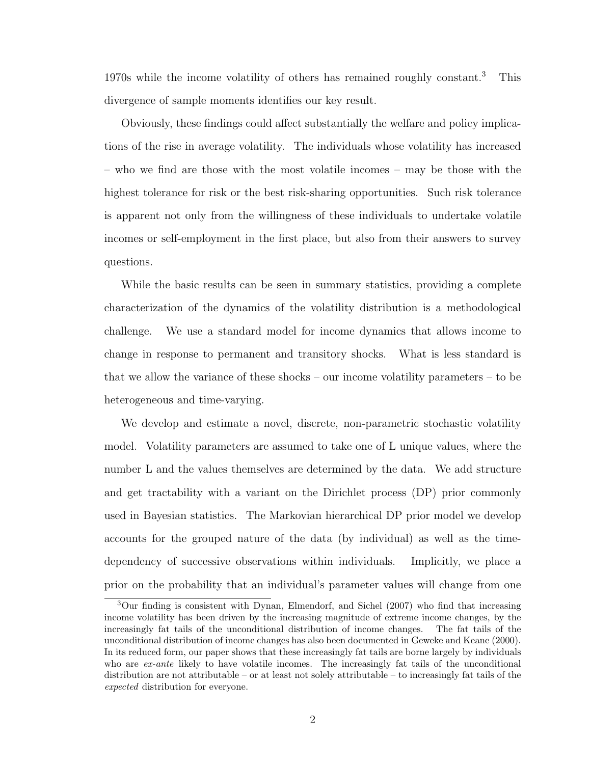1970s while the income volatility of others has remained roughly constant.<sup>3</sup> This divergence of sample moments identifies our key result.

Obviously, these findings could affect substantially the welfare and policy implications of the rise in average volatility. The individuals whose volatility has increased – who we find are those with the most volatile incomes – may be those with the highest tolerance for risk or the best risk-sharing opportunities. Such risk tolerance is apparent not only from the willingness of these individuals to undertake volatile incomes or self-employment in the first place, but also from their answers to survey questions.

While the basic results can be seen in summary statistics, providing a complete characterization of the dynamics of the volatility distribution is a methodological challenge. We use a standard model for income dynamics that allows income to change in response to permanent and transitory shocks. What is less standard is that we allow the variance of these shocks – our income volatility parameters – to be heterogeneous and time-varying.

We develop and estimate a novel, discrete, non-parametric stochastic volatility model. Volatility parameters are assumed to take one of L unique values, where the number L and the values themselves are determined by the data. We add structure and get tractability with a variant on the Dirichlet process (DP) prior commonly used in Bayesian statistics. The Markovian hierarchical DP prior model we develop accounts for the grouped nature of the data (by individual) as well as the timedependency of successive observations within individuals. Implicitly, we place a prior on the probability that an individual's parameter values will change from one

<sup>3</sup>Our finding is consistent with Dynan, Elmendorf, and Sichel (2007) who find that increasing income volatility has been driven by the increasing magnitude of extreme income changes, by the increasingly fat tails of the unconditional distribution of income changes. The fat tails of the unconditional distribution of income changes has also been documented in Geweke and Keane (2000). In its reduced form, our paper shows that these increasingly fat tails are borne largely by individuals who are  $ex$ -ante likely to have volatile incomes. The increasingly fat tails of the unconditional distribution are not attributable – or at least not solely attributable – to increasingly fat tails of the expected distribution for everyone.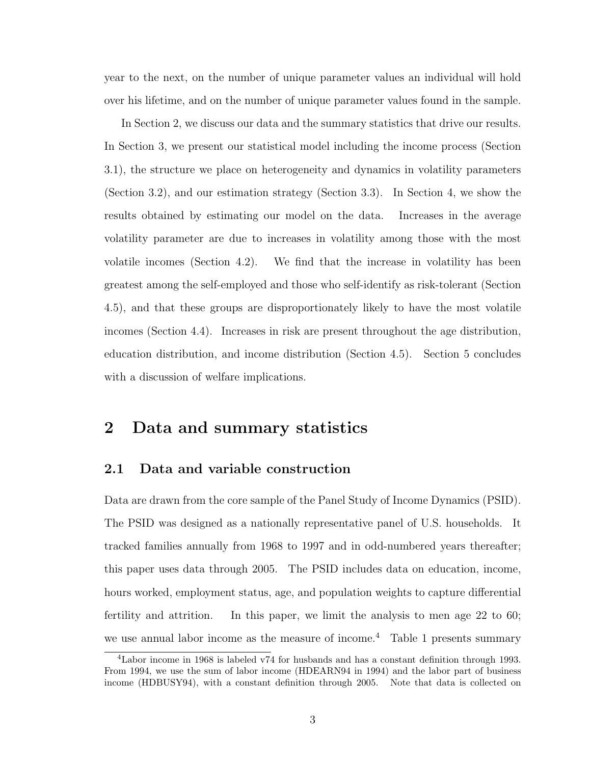year to the next, on the number of unique parameter values an individual will hold over his lifetime, and on the number of unique parameter values found in the sample.

In Section 2, we discuss our data and the summary statistics that drive our results. In Section 3, we present our statistical model including the income process (Section 3.1), the structure we place on heterogeneity and dynamics in volatility parameters (Section 3.2), and our estimation strategy (Section 3.3). In Section 4, we show the results obtained by estimating our model on the data. Increases in the average volatility parameter are due to increases in volatility among those with the most volatile incomes (Section 4.2). We find that the increase in volatility has been greatest among the self-employed and those who self-identify as risk-tolerant (Section 4.5), and that these groups are disproportionately likely to have the most volatile incomes (Section 4.4). Increases in risk are present throughout the age distribution, education distribution, and income distribution (Section 4.5). Section 5 concludes with a discussion of welfare implications.

## 2 Data and summary statistics

#### 2.1 Data and variable construction

Data are drawn from the core sample of the Panel Study of Income Dynamics (PSID). The PSID was designed as a nationally representative panel of U.S. households. It tracked families annually from 1968 to 1997 and in odd-numbered years thereafter; this paper uses data through 2005. The PSID includes data on education, income, hours worked, employment status, age, and population weights to capture differential fertility and attrition. In this paper, we limit the analysis to men age 22 to 60; we use annual labor income as the measure of income.<sup>4</sup> Table 1 presents summary

<sup>4</sup>Labor income in 1968 is labeled v74 for husbands and has a constant definition through 1993. From 1994, we use the sum of labor income (HDEARN94 in 1994) and the labor part of business income (HDBUSY94), with a constant definition through 2005. Note that data is collected on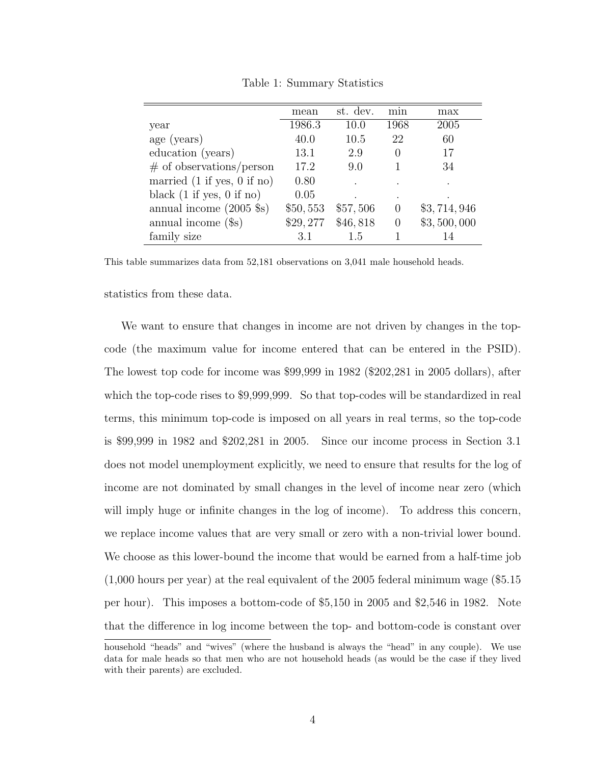|                                               | mean     | st. dev. | min              | max         |
|-----------------------------------------------|----------|----------|------------------|-------------|
| year                                          | 1986.3   | 10.0     | 1968             | 2005        |
| age (years)                                   | 40.0     | 10.5     | 22               | 60          |
| education (years)                             | 13.1     | 2.9      | $\left( \right)$ | 17          |
| $\#$ of observations/person                   | 17.2     | 9.0      |                  | 34          |
| married $(1 \text{ if yes}, 0 \text{ if no})$ | 0.80     |          |                  | $\cdot$     |
| black $(1 \text{ if yes}, 0 \text{ if no})$   | 0.05     |          | $\bullet$        |             |
| annual income $(2005 \text{ } $s)$            | \$50,553 | \$57,506 | $\Omega$         | \$3,714,946 |
| annual income $(\$s)$                         | \$29,277 | \$46,818 | $\theta$         | \$3,500,000 |
| family size                                   | 3.1      | 1.5      |                  | 14          |

Table 1: Summary Statistics

This table summarizes data from 52,181 observations on 3,041 male household heads.

statistics from these data.

We want to ensure that changes in income are not driven by changes in the topcode (the maximum value for income entered that can be entered in the PSID). The lowest top code for income was \$99,999 in 1982 (\$202,281 in 2005 dollars), after which the top-code rises to \$9,999,999. So that top-codes will be standardized in real terms, this minimum top-code is imposed on all years in real terms, so the top-code is \$99,999 in 1982 and \$202,281 in 2005. Since our income process in Section 3.1 does not model unemployment explicitly, we need to ensure that results for the log of income are not dominated by small changes in the level of income near zero (which will imply huge or infinite changes in the log of income). To address this concern, we replace income values that are very small or zero with a non-trivial lower bound. We choose as this lower-bound the income that would be earned from a half-time job (1,000 hours per year) at the real equivalent of the 2005 federal minimum wage (\$5.15 per hour). This imposes a bottom-code of \$5,150 in 2005 and \$2,546 in 1982. Note that the difference in log income between the top- and bottom-code is constant over

household "heads" and "wives" (where the husband is always the "head" in any couple). We use data for male heads so that men who are not household heads (as would be the case if they lived with their parents) are excluded.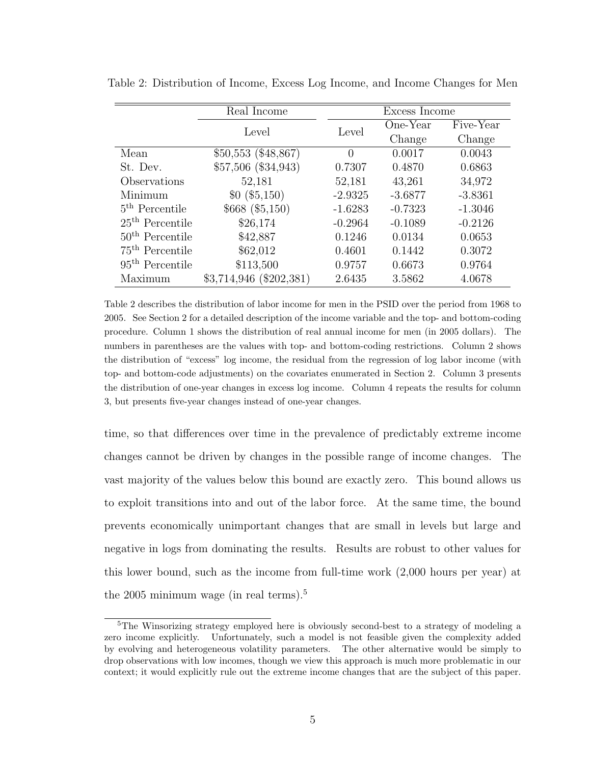|                            | Real Income                | Excess Income |           |           |
|----------------------------|----------------------------|---------------|-----------|-----------|
|                            | Level                      | Level         | One-Year  | Five-Year |
|                            |                            |               | Change    | Change    |
| Mean                       | \$50,553 (\$48,867)        | $\Omega$      | 0.0017    | 0.0043    |
| St. Dev.                   | \$57,506 (\$34,943)        | 0.7307        | 0.4870    | 0.6863    |
| Observations               | 52,181                     | 52,181        | 43,261    | 34,972    |
| Minimum                    | \$0 ( \$5,150)             | $-2.9325$     | $-3.6877$ | $-3.8361$ |
| 5 <sup>th</sup> Percentile | \$668 (\$5,150)            | $-1.6283$     | $-0.7323$ | $-1.3046$ |
| $25th$ Percentile          | \$26,174                   | $-0.2964$     | $-0.1089$ | $-0.2126$ |
| $50th$ Percentile          | \$42,887                   | 0.1246        | 0.0134    | 0.0653    |
| $75th$ Percentile          | \$62,012                   | 0.4601        | 0.1442    | 0.3072    |
| $95th$ Percentile          | \$113,500                  | 0.9757        | 0.6673    | 0.9764    |
| Maximum                    | $$3,714,946 \; ($202,381)$ | 2.6435        | 3.5862    | 4.0678    |

Table 2: Distribution of Income, Excess Log Income, and Income Changes for Men

Table 2 describes the distribution of labor income for men in the PSID over the period from 1968 to 2005. See Section 2 for a detailed description of the income variable and the top- and bottom-coding procedure. Column 1 shows the distribution of real annual income for men (in 2005 dollars). The numbers in parentheses are the values with top- and bottom-coding restrictions. Column 2 shows the distribution of "excess" log income, the residual from the regression of log labor income (with top- and bottom-code adjustments) on the covariates enumerated in Section 2. Column 3 presents the distribution of one-year changes in excess log income. Column 4 repeats the results for column 3, but presents five-year changes instead of one-year changes.

time, so that differences over time in the prevalence of predictably extreme income changes cannot be driven by changes in the possible range of income changes. The vast majority of the values below this bound are exactly zero. This bound allows us to exploit transitions into and out of the labor force. At the same time, the bound prevents economically unimportant changes that are small in levels but large and negative in logs from dominating the results. Results are robust to other values for this lower bound, such as the income from full-time work (2,000 hours per year) at the 2005 minimum wage (in real terms).<sup>5</sup>

<sup>5</sup>The Winsorizing strategy employed here is obviously second-best to a strategy of modeling a zero income explicitly. Unfortunately, such a model is not feasible given the complexity added by evolving and heterogeneous volatility parameters. The other alternative would be simply to drop observations with low incomes, though we view this approach is much more problematic in our context; it would explicitly rule out the extreme income changes that are the subject of this paper.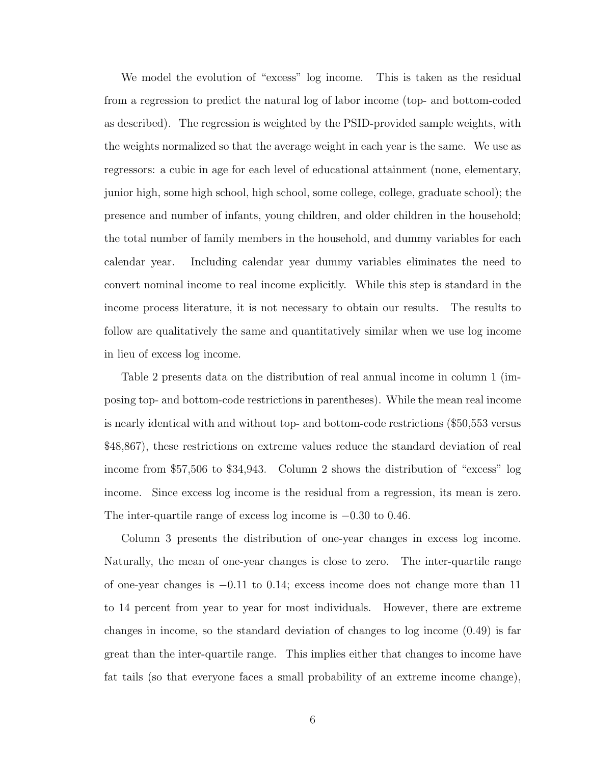We model the evolution of "excess" log income. This is taken as the residual from a regression to predict the natural log of labor income (top- and bottom-coded as described). The regression is weighted by the PSID-provided sample weights, with the weights normalized so that the average weight in each year is the same. We use as regressors: a cubic in age for each level of educational attainment (none, elementary, junior high, some high school, high school, some college, college, graduate school); the presence and number of infants, young children, and older children in the household; the total number of family members in the household, and dummy variables for each calendar year. Including calendar year dummy variables eliminates the need to convert nominal income to real income explicitly. While this step is standard in the income process literature, it is not necessary to obtain our results. The results to follow are qualitatively the same and quantitatively similar when we use log income in lieu of excess log income.

Table 2 presents data on the distribution of real annual income in column 1 (imposing top- and bottom-code restrictions in parentheses). While the mean real income is nearly identical with and without top- and bottom-code restrictions (\$50,553 versus \$48,867), these restrictions on extreme values reduce the standard deviation of real income from \$57,506 to \$34,943. Column 2 shows the distribution of "excess" log income. Since excess log income is the residual from a regression, its mean is zero. The inter-quartile range of excess log income is  $-0.30$  to 0.46.

Column 3 presents the distribution of one-year changes in excess log income. Naturally, the mean of one-year changes is close to zero. The inter-quartile range of one-year changes is −0.11 to 0.14; excess income does not change more than 11 to 14 percent from year to year for most individuals. However, there are extreme changes in income, so the standard deviation of changes to log income (0.49) is far great than the inter-quartile range. This implies either that changes to income have fat tails (so that everyone faces a small probability of an extreme income change),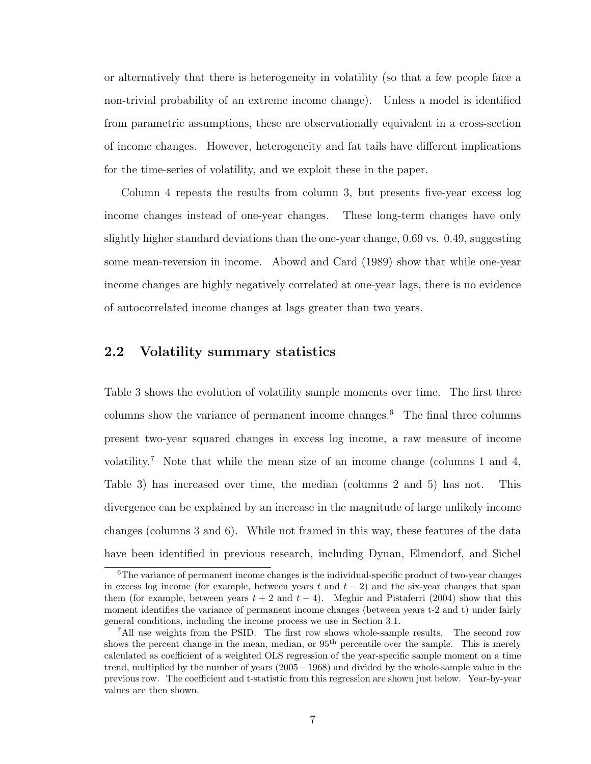or alternatively that there is heterogeneity in volatility (so that a few people face a non-trivial probability of an extreme income change). Unless a model is identified from parametric assumptions, these are observationally equivalent in a cross-section of income changes. However, heterogeneity and fat tails have different implications for the time-series of volatility, and we exploit these in the paper.

Column 4 repeats the results from column 3, but presents five-year excess log income changes instead of one-year changes. These long-term changes have only slightly higher standard deviations than the one-year change, 0.69 vs. 0.49, suggesting some mean-reversion in income. Abowd and Card (1989) show that while one-year income changes are highly negatively correlated at one-year lags, there is no evidence of autocorrelated income changes at lags greater than two years.

#### 2.2 Volatility summary statistics

Table 3 shows the evolution of volatility sample moments over time. The first three columns show the variance of permanent income changes.<sup>6</sup> The final three columns present two-year squared changes in excess log income, a raw measure of income volatility.<sup>7</sup> Note that while the mean size of an income change (columns 1 and 4, Table 3) has increased over time, the median (columns 2 and 5) has not. This divergence can be explained by an increase in the magnitude of large unlikely income changes (columns 3 and 6). While not framed in this way, these features of the data have been identified in previous research, including Dynan, Elmendorf, and Sichel

<sup>6</sup>The variance of permanent income changes is the individual-specific product of two-year changes in excess log income (for example, between years t and  $t - 2$ ) and the six-year changes that span them (for example, between years  $t + 2$  and  $t - 4$ ). Meghir and Pistaferri (2004) show that this moment identifies the variance of permanent income changes (between years t-2 and t) under fairly general conditions, including the income process we use in Section 3.1.

<sup>7</sup>All use weights from the PSID. The first row shows whole-sample results. The second row shows the percent change in the mean, median, or  $95<sup>th</sup>$  percentile over the sample. This is merely calculated as coefficient of a weighted OLS regression of the year-specific sample moment on a time trend, multiplied by the number of years (2005−1968) and divided by the whole-sample value in the previous row. The coefficient and t-statistic from this regression are shown just below. Year-by-year values are then shown.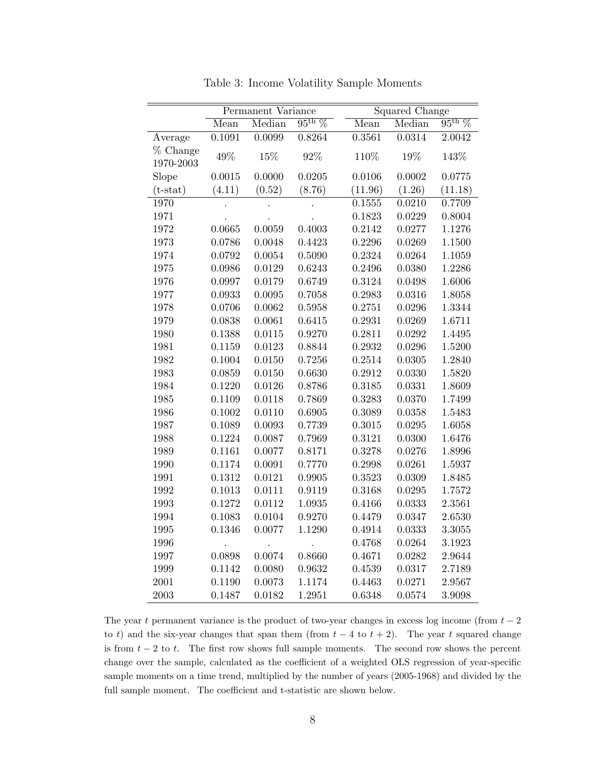|                       | Permanent Variance   |        | Squared Change  |             |        |                 |
|-----------------------|----------------------|--------|-----------------|-------------|--------|-----------------|
|                       | Mean                 | Median | $95^{\rm th}$ % | Mean        | Median | $95^{\rm th}$ % |
| Average               | 0.1091               | 0.0099 | 0.8264          | 0.3561      | 0.0314 | 2.0042          |
| % Change<br>1970-2003 | 49%                  | 15%    | 92%             | 110%        | 19%    | 143%            |
| Slope                 | 0.0015               | 0.0000 | 0.0205          | 0.0106      | 0.0002 | 0.0775          |
| $(t-stat)$            | (4.11)               | (0.52) | (8.76)          | (11.96)     | (1.26) | (11.18)         |
| 1970                  |                      |        |                 | 0.1555      | 0.0210 | 0.7709          |
| 1971                  |                      |        |                 | 0.1823      | 0.0229 | 0.8004          |
| 1972                  | 0.0665               | 0.0059 | 0.4003          | 0.2142      | 0.0277 | 1.1276          |
| 1973                  | 0.0786               | 0.0048 | 0.4423          | 0.2296      | 0.0269 | 1.1500          |
| 1974                  | 0.0792               | 0.0054 | 0.5090          | 0.2324      | 0.0264 | 1.1059          |
| 1975                  | 0.0986               | 0.0129 | 0.6243          | 0.2496      | 0.0380 | 1.2286          |
| 1976                  | 0.0997               | 0.0179 | 0.6749          | 0.3124      | 0.0498 | 1.6006          |
| 1977                  | 0.0933               | 0.0095 | 0.7058          | 0.2983      | 0.0316 | 1.8058          |
| 1978                  | 0.0706               | 0.0062 | 0.5958          | 0.2751      | 0.0296 | 1.3344          |
| 1979                  | 0.0838               | 0.0061 | 0.6415          | 0.2931      | 0.0269 | 1.6711          |
| 1980                  | 0.1388               | 0.0115 | 0.9270          | 0.2811      | 0.0292 | 1.4495          |
| 1981                  | 0.1159               | 0.0123 | 0.8844          | 0.2932      | 0.0296 | 1.5200          |
| 1982                  | 0.1004               | 0.0150 | 0.7256          | 0.2514      | 0.0305 | 1.2840          |
| 1983                  | 0.0859               | 0.0150 | 0.6630          | 0.2912      | 0.0330 | 1.5820          |
| 1984                  | 0.1220               | 0.0126 | 0.8786          | ${0.3185}$  | 0.0331 | 1.8609          |
| 1985                  | 0.1109               | 0.0118 | 0.7869          | 0.3283      | 0.0370 | 1.7499          |
| 1986                  | 0.1002               | 0.0110 | 0.6905          | 0.3089      | 0.0358 | 1.5483          |
| 1987                  | 0.1089               | 0.0093 | 0.7739          | 0.3015      | 0.0295 | 1.6058          |
| 1988                  | 0.1224               | 0.0087 | 0.7969          | 0.3121      | 0.0300 | 1.6476          |
| 1989                  | 0.1161               | 0.0077 | 0.8171          | 0.3278      | 0.0276 | 1.8996          |
| 1990                  | 0.1174               | 0.0091 | 0.7770          | 0.2998      | 0.0261 | 1.5937          |
| 1991                  | 0.1312               | 0.0121 | 0.9905          | ${ 0.3523}$ | 0.0309 | 1.8485          |
| 1992                  | 0.1013               | 0.0111 | 0.9119          | 0.3168      | 0.0295 | $1.7572\,$      |
| 1993                  | 0.1272               | 0.0112 | 1.0935          | 0.4166      | 0.0333 | 2.3561          |
| 1994                  | 0.1083               | 0.0104 | 0.9270          | 0.4479      | 0.0347 | 2.6530          |
| 1995                  | 0.1346               | 0.0077 | 1.1290          | 0.4914      | 0.0333 | 3.3055          |
| 1996                  | $\ddot{\phantom{0}}$ |        |                 | 0.4768      | 0.0264 | 3.1923          |
| 1997                  | 0.0898               | 0.0074 | 0.8660          | 0.4671      | 0.0282 | 2.9644          |
| 1999                  | 0.1142               | 0.0080 | 0.9632          | 0.4539      | 0.0317 | 2.7189          |
| 2001                  | 0.1190               | 0.0073 | 1.1174          | 0.4463      | 0.0271 | 2.9567          |
| 2003                  | 0.1487               | 0.0182 | 1.2951          | 0.6348      | 0.0574 | 3.9098          |

Table 3: Income Volatility Sample Moments

The year t permanent variance is the product of two-year changes in excess log income (from  $t - 2$ ) to t) and the six-year changes that span them (from  $t - 4$  to  $t + 2$ ). The year t squared change is from  $t - 2$  to t. The first row shows full sample moments. The second row shows the percent change over the sample, calculated as the coefficient of a weighted OLS regression of year-specific sample moments on a time trend, multiplied by the number of years (2005-1968) and divided by the full sample moment. The coefficient and t-statistic are shown below.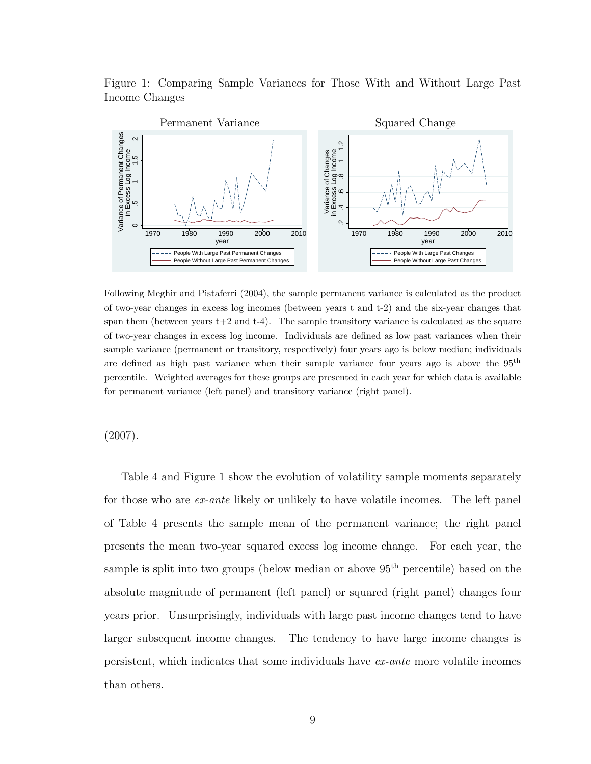Figure 1: Comparing Sample Variances for Those With and Without Large Past Income Changes



Following Meghir and Pistaferri (2004), the sample permanent variance is calculated as the product of two-year changes in excess log incomes (between years t and t-2) and the six-year changes that span them (between years  $t+2$  and  $t-4$ ). The sample transitory variance is calculated as the square of two-year changes in excess log income. Individuals are defined as low past variances when their sample variance (permanent or transitory, respectively) four years ago is below median; individuals are defined as high past variance when their sample variance four years ago is above the 95th percentile. Weighted averages for these groups are presented in each year for which data is available for permanent variance (left panel) and transitory variance (right panel).

#### (2007).

Table 4 and Figure 1 show the evolution of volatility sample moments separately for those who are ex-ante likely or unlikely to have volatile incomes. The left panel of Table 4 presents the sample mean of the permanent variance; the right panel presents the mean two-year squared excess log income change. For each year, the sample is split into two groups (below median or above  $95<sup>th</sup>$  percentile) based on the absolute magnitude of permanent (left panel) or squared (right panel) changes four years prior. Unsurprisingly, individuals with large past income changes tend to have larger subsequent income changes. The tendency to have large income changes is persistent, which indicates that some individuals have ex-ante more volatile incomes than others.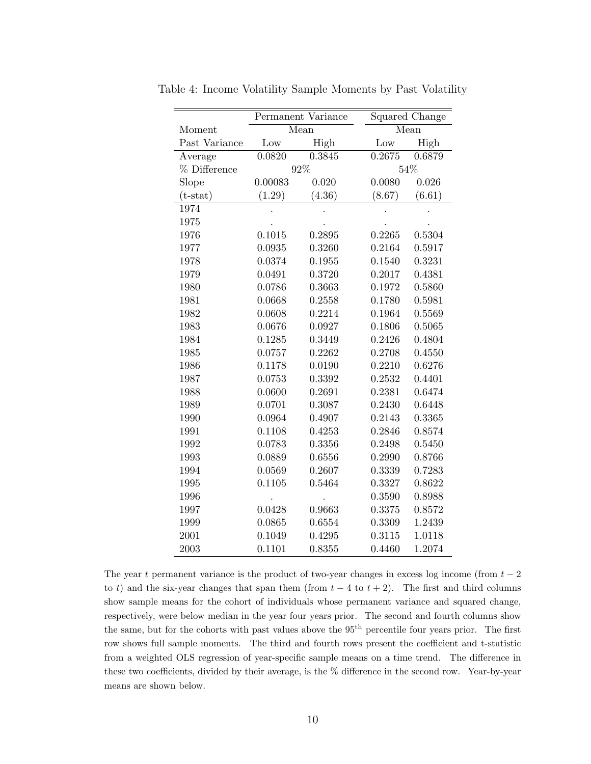|               |         | Permanent Variance |        | <b>Squared Change</b> |
|---------------|---------|--------------------|--------|-----------------------|
| Moment        |         | Mean               |        | Mean                  |
| Past Variance | Low     | High               | Low    | High                  |
| Average       | 0.0820  | 0.3845             | 0.2675 | 0.6879                |
| % Difference  |         | 92%                |        | 54%                   |
| Slope         | 0.00083 | 0.020              | 0.0080 | 0.026                 |
| $(t-stat)$    | (1.29)  | (4.36)             | (8.67) | (6.61)                |
| 1974          |         |                    |        |                       |
| 1975          |         |                    |        |                       |
| 1976          | 0.1015  | 0.2895             | 0.2265 | 0.5304                |
| 1977          | 0.0935  | 0.3260             | 0.2164 | 0.5917                |
| 1978          | 0.0374  | 0.1955             | 0.1540 | 0.3231                |
| 1979          | 0.0491  | 0.3720             | 0.2017 | 0.4381                |
| 1980          | 0.0786  | 0.3663             | 0.1972 | 0.5860                |
| 1981          | 0.0668  | 0.2558             | 0.1780 | 0.5981                |
| 1982          | 0.0608  | 0.2214             | 0.1964 | 0.5569                |
| 1983          | 0.0676  | 0.0927             | 0.1806 | 0.5065                |
| 1984          | 0.1285  | 0.3449             | 0.2426 | 0.4804                |
| 1985          | 0.0757  | 0.2262             | 0.2708 | 0.4550                |
| 1986          | 0.1178  | 0.0190             | 0.2210 | 0.6276                |
| 1987          | 0.0753  | 0.3392             | 0.2532 | 0.4401                |
| 1988          | 0.0600  | 0.2691             | 0.2381 | 0.6474                |
| 1989          | 0.0701  | 0.3087             | 0.2430 | 0.6448                |
| 1990          | 0.0964  | 0.4907             | 0.2143 | 0.3365                |
| 1991          | 0.1108  | 0.4253             | 0.2846 | 0.8574                |
| 1992          | 0.0783  | 0.3356             | 0.2498 | 0.5450                |
| 1993          | 0.0889  | 0.6556             | 0.2990 | 0.8766                |
| 1994          | 0.0569  | 0.2607             | 0.3339 | 0.7283                |
| 1995          | 0.1105  | 0.5464             | 0.3327 | 0.8622                |
| 1996          |         |                    | 0.3590 | 0.8988                |
| 1997          | 0.0428  | 0.9663             | 0.3375 | 0.8572                |
| 1999          | 0.0865  | 0.6554             | 0.3309 | 1.2439                |
| 2001          | 0.1049  | 0.4295             | 0.3115 | 1.0118                |
| 2003          | 0.1101  | 0.8355             | 0.4460 | 1.2074                |

Table 4: Income Volatility Sample Moments by Past Volatility

The year t permanent variance is the product of two-year changes in excess log income (from  $t - 2$ ) to t) and the six-year changes that span them (from  $t - 4$  to  $t + 2$ ). The first and third columns show sample means for the cohort of individuals whose permanent variance and squared change, respectively, were below median in the year four years prior. The second and fourth columns show the same, but for the cohorts with past values above the 95<sup>th</sup> percentile four years prior. The first row shows full sample moments. The third and fourth rows present the coefficient and t-statistic from a weighted OLS regression of year-specific sample means on a time trend. The difference in these two coefficients, divided by their average, is the % difference in the second row. Year-by-year means are shown below.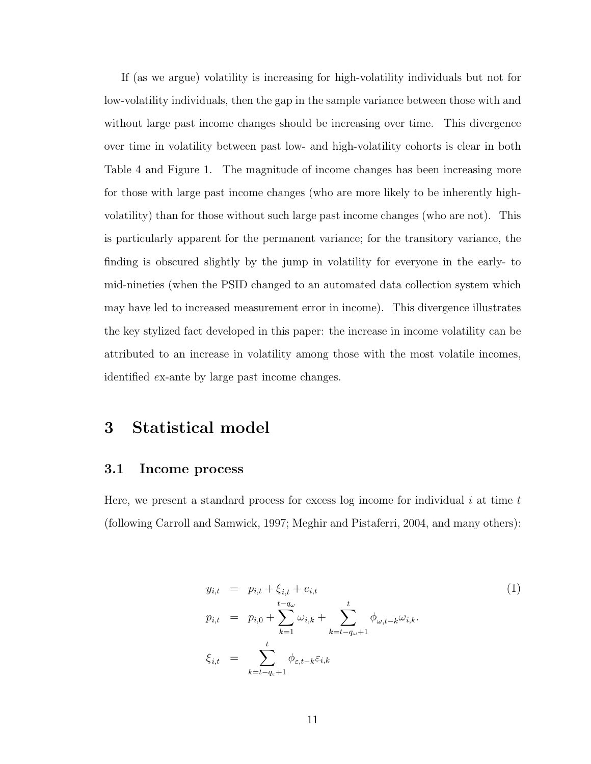If (as we argue) volatility is increasing for high-volatility individuals but not for low-volatility individuals, then the gap in the sample variance between those with and without large past income changes should be increasing over time. This divergence over time in volatility between past low- and high-volatility cohorts is clear in both Table 4 and Figure 1. The magnitude of income changes has been increasing more for those with large past income changes (who are more likely to be inherently highvolatility) than for those without such large past income changes (who are not). This is particularly apparent for the permanent variance; for the transitory variance, the finding is obscured slightly by the jump in volatility for everyone in the early- to mid-nineties (when the PSID changed to an automated data collection system which may have led to increased measurement error in income). This divergence illustrates the key stylized fact developed in this paper: the increase in income volatility can be attributed to an increase in volatility among those with the most volatile incomes, identified ex-ante by large past income changes.

## 3 Statistical model

#### 3.1 Income process

Here, we present a standard process for excess log income for individual  $i$  at time  $t$ (following Carroll and Samwick, 1997; Meghir and Pistaferri, 2004, and many others):

$$
y_{i,t} = p_{i,t} + \xi_{i,t} + e_{i,t}
$$
  
\n
$$
p_{i,t} = p_{i,0} + \sum_{k=1}^{t-q_{\omega}} \omega_{i,k} + \sum_{k=t-q_{\omega}+1}^{t} \phi_{\omega,t-k} \omega_{i,k}.
$$
  
\n
$$
\xi_{i,t} = \sum_{k=t-q_{\varepsilon}+1}^{t} \phi_{\varepsilon,t-k} \varepsilon_{i,k}
$$
\n(1)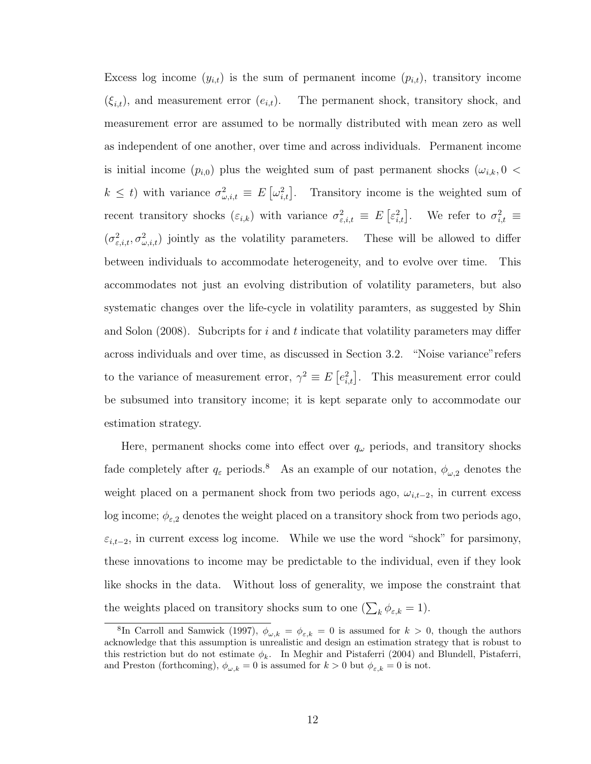Excess log income  $(y_{i,t})$  is the sum of permanent income  $(p_{i,t})$ , transitory income  $(\xi_{i,t})$ , and measurement error  $(e_{i,t})$ . The permanent shock, transitory shock, and measurement error are assumed to be normally distributed with mean zero as well as independent of one another, over time and across individuals. Permanent income is initial income  $(p_{i,0})$  plus the weighted sum of past permanent shocks  $(\omega_{i,k}, 0 <$  $k \leq t$ ) with variance  $\sigma_{\omega,i,t}^2 \equiv E\left[\omega_{i,t}^2\right]$ . Transitory income is the weighted sum of recent transitory shocks  $(\varepsilon_{i,k})$  with variance  $\sigma_{\varepsilon,i,t}^2 \equiv E\left[\varepsilon_{i,t}^2\right]$ . We refer to  $\sigma_{i,t}^2 \equiv$  $(\sigma_{\varepsilon,i,t}^2, \sigma_{\omega,i,t}^2)$  jointly as the volatility parameters. These will be allowed to differ between individuals to accommodate heterogeneity, and to evolve over time. This accommodates not just an evolving distribution of volatility parameters, but also systematic changes over the life-cycle in volatility paramters, as suggested by Shin and Solon  $(2008)$ . Subcripts for i and t indicate that volatility parameters may differ across individuals and over time, as discussed in Section 3.2. "Noise variance"refers to the variance of measurement error,  $\gamma^2 \equiv E\left[e_{i,t}^2\right]$ . This measurement error could be subsumed into transitory income; it is kept separate only to accommodate our estimation strategy.

Here, permanent shocks come into effect over  $q_{\omega}$  periods, and transitory shocks fade completely after  $q_{\varepsilon}$  periods.<sup>8</sup> As an example of our notation,  $\phi_{\omega,2}$  denotes the weight placed on a permanent shock from two periods ago,  $\omega_{i,t-2}$ , in current excess log income;  $\phi_{\varepsilon,2}$  denotes the weight placed on a transitory shock from two periods ago,  $\varepsilon_{i,t-2}$ , in current excess log income. While we use the word "shock" for parsimony, these innovations to income may be predictable to the individual, even if they look like shocks in the data. Without loss of generality, we impose the constraint that the weights placed on transitory shocks sum to one  $(\sum_{k} \phi_{\varepsilon,k} = 1)$ .

<sup>&</sup>lt;sup>8</sup>In Carroll and Samwick (1997),  $\phi_{\omega,k} = \phi_{\varepsilon,k} = 0$  is assumed for  $k > 0$ , though the authors acknowledge that this assumption is unrealistic and design an estimation strategy that is robust to this restriction but do not estimate  $\phi_k$ . In Meghir and Pistaferri (2004) and Blundell, Pistaferri, and Preston (forthcoming),  $\phi_{\omega,k} = 0$  is assumed for  $k > 0$  but  $\phi_{\varepsilon,k} = 0$  is not.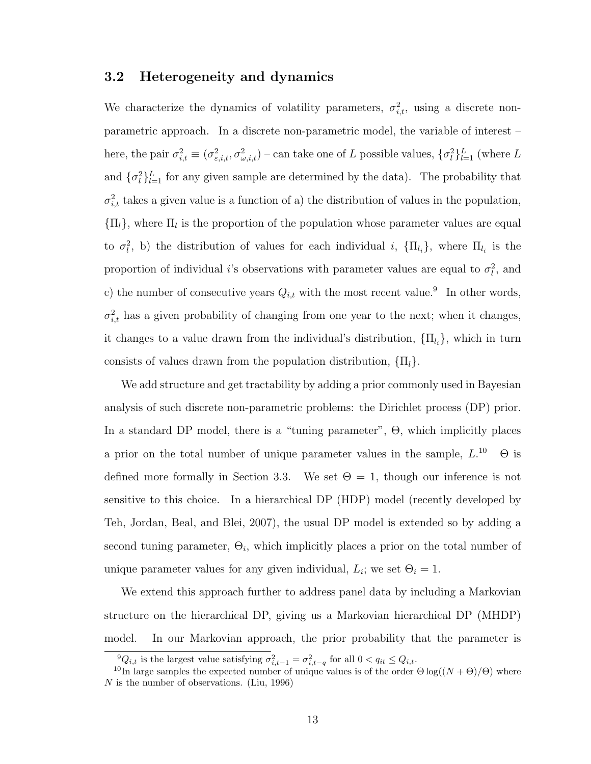#### 3.2 Heterogeneity and dynamics

We characterize the dynamics of volatility parameters,  $\sigma_{i,t}^2$ , using a discrete nonparametric approach. In a discrete non-parametric model, the variable of interest – here, the pair  $\sigma_{i,t}^2 \equiv (\sigma_{\varepsilon,i,t}^2, \sigma_{\omega,i,t}^2)$  – can take one of L possible values,  $\{\sigma_i^2\}_{l=1}^L$  (where L and  $\{\sigma_l^2\}_{l=1}^L$  for any given sample are determined by the data). The probability that  $\sigma_{i,t}^2$  takes a given value is a function of a) the distribution of values in the population,  ${\{\Pi_l\}}$ , where  ${\Pi_l}$  is the proportion of the population whose parameter values are equal to  $\sigma_l^2$ , b) the distribution of values for each individual i,  $\{\Pi_{l_i}\}\$ , where  $\Pi_{l_i}$  is the proportion of individual *i*'s observations with parameter values are equal to  $\sigma_l^2$ , and c) the number of consecutive years  $Q_{i,t}$  with the most recent value.<sup>9</sup> In other words,  $\sigma_{i,t}^2$  has a given probability of changing from one year to the next; when it changes, it changes to a value drawn from the individual's distribution,  $\{\Pi_{l_i}\}\$ , which in turn consists of values drawn from the population distribution,  $\{\Pi_l\}$ .

We add structure and get tractability by adding a prior commonly used in Bayesian analysis of such discrete non-parametric problems: the Dirichlet process (DP) prior. In a standard DP model, there is a "tuning parameter", Θ, which implicitly places a prior on the total number of unique parameter values in the sample,  $L^{10}$   $\Theta$  is defined more formally in Section 3.3. We set  $\Theta = 1$ , though our inference is not sensitive to this choice. In a hierarchical DP (HDP) model (recently developed by Teh, Jordan, Beal, and Blei, 2007), the usual DP model is extended so by adding a second tuning parameter,  $\Theta_i$ , which implicitly places a prior on the total number of unique parameter values for any given individual,  $L_i$ ; we set  $\Theta_i = 1$ .

We extend this approach further to address panel data by including a Markovian structure on the hierarchical DP, giving us a Markovian hierarchical DP (MHDP) model. In our Markovian approach, the prior probability that the parameter is

<sup>&</sup>lt;sup>9</sup> $Q_{i,t}$  is the largest value satisfying  $\sigma_{i,t-1}^2 = \sigma_{i,t-q}^2$  for all  $0 < q_{it} \leq Q_{i,t}$ .

<sup>&</sup>lt;sup>10</sup>In large samples the expected number of unique values is of the order  $\Theta \log((N + \Theta)/\Theta)$  where  $N$  is the number of observations. (Liu, 1996)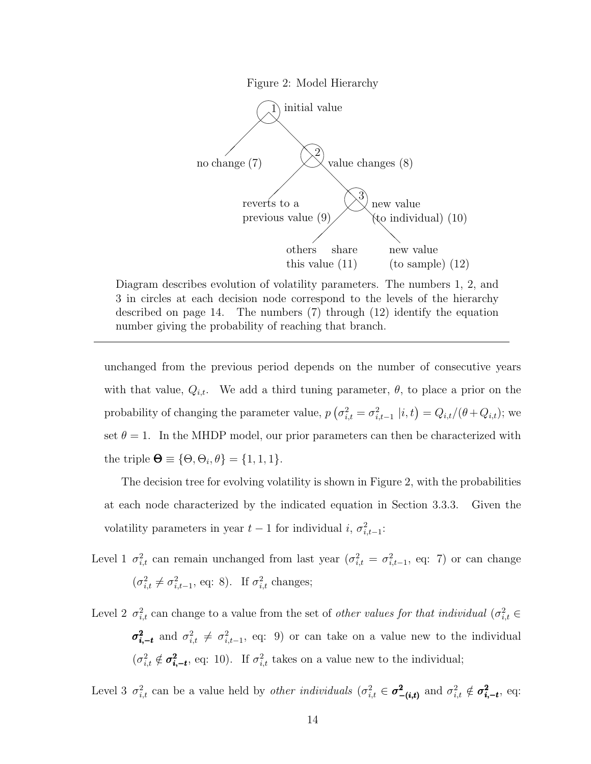

Diagram describes evolution of volatility parameters. The numbers 1, 2, and 3 in circles at each decision node correspond to the levels of the hierarchy described on page 14. The numbers (7) through (12) identify the equation number giving the probability of reaching that branch.

unchanged from the previous period depends on the number of consecutive years with that value,  $Q_{i,t}$ . We add a third tuning parameter,  $\theta$ , to place a prior on the probability of changing the parameter value,  $p\left(\sigma_{i,t}^2 = \sigma_{i,t-1}^2 \middle| i,t\right) = Q_{i,t}/(\theta + Q_{i,t});$  we set  $\theta = 1$ . In the MHDP model, our prior parameters can then be characterized with the triple  $\mathbf{\Theta} \equiv \{\Theta, \Theta_i, \theta\} = \{1, 1, 1\}.$ 

The decision tree for evolving volatility is shown in Figure 2, with the probabilities at each node characterized by the indicated equation in Section 3.3.3. Given the volatility parameters in year  $t-1$  for individual i,  $\sigma_{i,t-1}^2$ :

- Level 1  $\sigma_{i,t}^2$  can remain unchanged from last year  $(\sigma_{i,t}^2 = \sigma_{i,t-1}^2$ , eq: 7) or can change  $(\sigma_{i,t}^2 \neq \sigma_{i,t-1}^2, \text{ eq: 8}).$  If  $\sigma_{i,t}^2$  changes;
- Level 2  $\sigma_{i,t}^2$  can change to a value from the set of *other values for that individual* ( $\sigma_{i,t}^2$ )  $\sigma_{i,-t}^2$  and  $\sigma_{i,t}^2 \neq \sigma_{i,t-1}^2$ , eq: 9) or can take on a value new to the individual  $(\sigma_{i,t}^2 \notin \sigma_{i,-t}^2)$ , eq: 10). If  $\sigma_{i,t}^2$  takes on a value new to the individual;

Level 3  $\sigma_{i,t}^2$  can be a value held by *other individuals*  $(\sigma_{i,t}^2 \in \sigma_{-(i,t)}^2)$  and  $\sigma_{i,t}^2 \notin \sigma_{i,-t}^2$ , eq: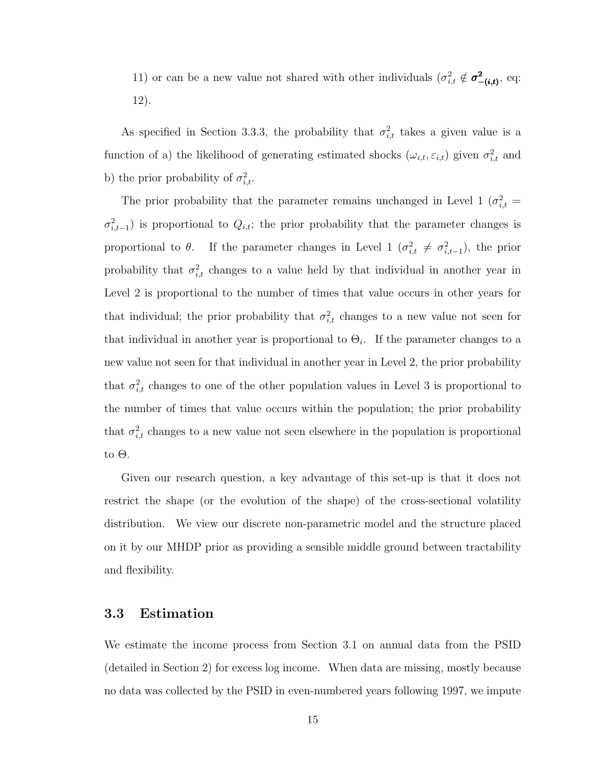11) or can be a new value not shared with other individuals  $(\sigma_{i,t}^2 \notin \sigma_{-(i,t)}^2)$ , eq: 12).

As specified in Section 3.3.3, the probability that  $\sigma_{i,t}^2$  takes a given value is a function of a) the likelihood of generating estimated shocks  $(\omega_{i,t}, \varepsilon_{i,t})$  given  $\sigma_{i,t}^2$  and b) the prior probability of  $\sigma_{i,t}^2$ .

The prior probability that the parameter remains unchanged in Level 1 ( $\sigma_{i,t}^2$  =  $\sigma_{i,t-1}^2$ ) is proportional to  $Q_{i,t}$ ; the prior probability that the parameter changes is proportional to  $\theta$ . If the parameter changes in Level 1  $(\sigma_{i,t}^2 \neq \sigma_{i,t-1}^2)$ , the prior probability that  $\sigma_{i,t}^2$  changes to a value held by that individual in another year in Level 2 is proportional to the number of times that value occurs in other years for that individual; the prior probability that  $\sigma_{i,t}^2$  changes to a new value not seen for that individual in another year is proportional to  $\Theta_i$ . If the parameter changes to a new value not seen for that individual in another year in Level 2, the prior probability that  $\sigma_{i,t}^2$  changes to one of the other population values in Level 3 is proportional to the number of times that value occurs within the population; the prior probability that  $\sigma_{i,t}^2$  changes to a new value not seen elsewhere in the population is proportional to Θ.

Given our research question, a key advantage of this set-up is that it does not restrict the shape (or the evolution of the shape) of the cross-sectional volatility distribution. We view our discrete non-parametric model and the structure placed on it by our MHDP prior as providing a sensible middle ground between tractability and flexibility.

#### 3.3 Estimation

We estimate the income process from Section 3.1 on annual data from the PSID (detailed in Section 2) for excess log income. When data are missing, mostly because no data was collected by the PSID in even-numbered years following 1997, we impute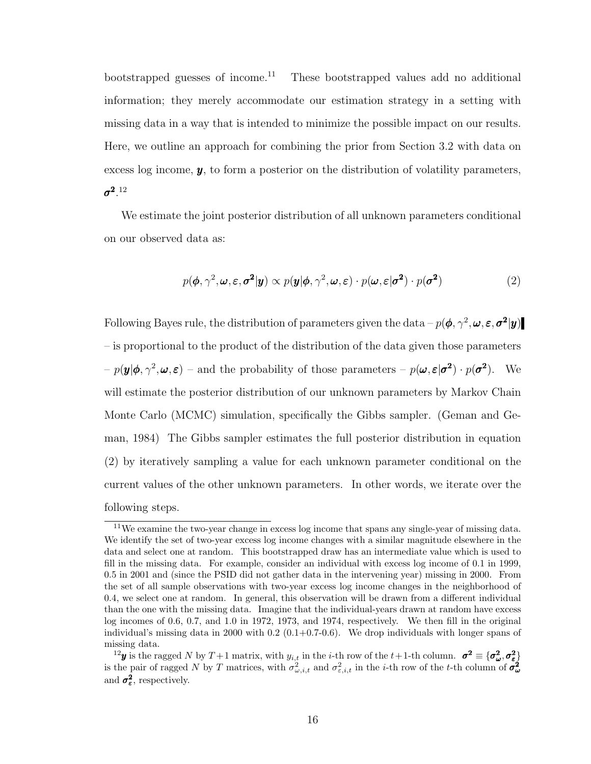bootstrapped guesses of income.<sup>11</sup> These bootstrapped values add no additional information; they merely accommodate our estimation strategy in a setting with missing data in a way that is intended to minimize the possible impact on our results. Here, we outline an approach for combining the prior from Section 3.2 with data on excess log income,  $y$ , to form a posterior on the distribution of volatility parameters,  $\sigma^2$ .  $^{12}$ 

We estimate the joint posterior distribution of all unknown parameters conditional on our observed data as:

$$
p(\boldsymbol{\phi}, \gamma^2, \boldsymbol{\omega}, \boldsymbol{\varepsilon}, \sigma^2 | \mathbf{y}) \propto p(\mathbf{y} | \boldsymbol{\phi}, \gamma^2, \boldsymbol{\omega}, \boldsymbol{\varepsilon}) \cdot p(\boldsymbol{\omega}, \boldsymbol{\varepsilon} | \sigma^2) \cdot p(\sigma^2)
$$
 (2)

Following Bayes rule, the distribution of parameters given the data  $-p(\phi, \gamma^2, \omega, \varepsilon, \sigma^2 | y)$ – is proportional to the product of the distribution of the data given those parameters  $-p(\mathbf{y}|\boldsymbol{\phi}, \gamma^2, \boldsymbol{\omega}, \boldsymbol{\varepsilon})$  – and the probability of those parameters –  $p(\boldsymbol{\omega}, \boldsymbol{\varepsilon}|\boldsymbol{\sigma^2}) \cdot p(\boldsymbol{\sigma^2})$ . We will estimate the posterior distribution of our unknown parameters by Markov Chain Monte Carlo (MCMC) simulation, specifically the Gibbs sampler. (Geman and Geman, 1984) The Gibbs sampler estimates the full posterior distribution in equation (2) by iteratively sampling a value for each unknown parameter conditional on the current values of the other unknown parameters. In other words, we iterate over the following steps.

<sup>&</sup>lt;sup>11</sup>We examine the two-year change in excess log income that spans any single-year of missing data. We identify the set of two-year excess log income changes with a similar magnitude elsewhere in the data and select one at random. This bootstrapped draw has an intermediate value which is used to fill in the missing data. For example, consider an individual with excess log income of 0.1 in 1999, 0.5 in 2001 and (since the PSID did not gather data in the intervening year) missing in 2000. From the set of all sample observations with two-year excess log income changes in the neighborhood of 0.4, we select one at random. In general, this observation will be drawn from a different individual than the one with the missing data. Imagine that the individual-years drawn at random have excess log incomes of 0.6, 0.7, and 1.0 in 1972, 1973, and 1974, respectively. We then fill in the original individual's missing data in 2000 with  $0.2$  ( $0.1+0.7-0.6$ ). We drop individuals with longer spans of missing data.

<sup>&</sup>lt;sup>12</sup>y is the ragged N by T + 1 matrix, with  $y_{i,t}$  in the *i*-th row of the t + 1-th column.  $\sigma^2 \equiv {\sigma^2_{\omega}, \sigma^2_{\varepsilon}}$ is the pair of ragged N by T matrices, with  $\sigma_{\omega,i,t}^2$  and  $\sigma_{\varepsilon,i,t}^2$  in the *i*-th row of the *t*-th column of  $\sigma_{\omega}^2$ and  $\sigma_{\varepsilon}^2$ , respectively.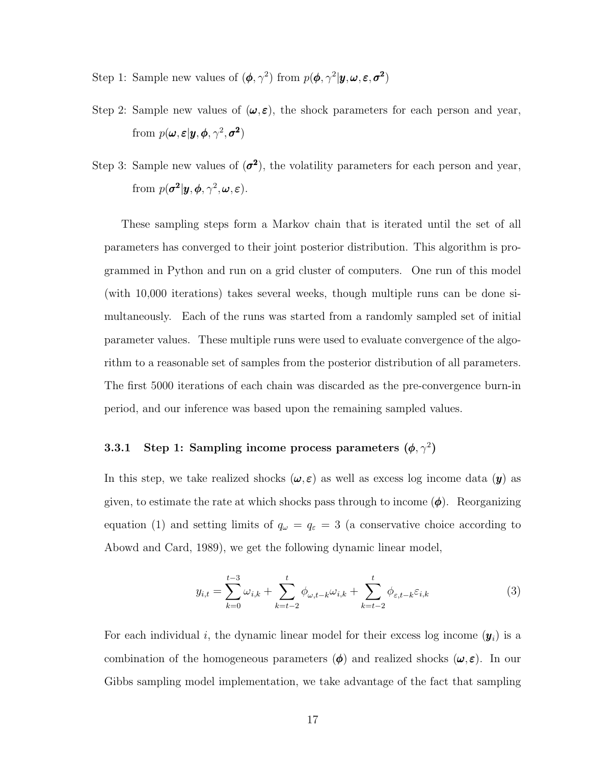- Step 1: Sample new values of  $(\phi, \gamma^2)$  from  $p(\phi, \gamma^2 | y, \omega, \varepsilon, \sigma^2)$
- Step 2: Sample new values of  $(\omega, \varepsilon)$ , the shock parameters for each person and year, from  $p(\boldsymbol{\omega}, \boldsymbol{\varepsilon} | \boldsymbol{y}, \boldsymbol{\phi}, \gamma^2, \boldsymbol{\sigma^2})$
- Step 3: Sample new values of  $(\sigma^2)$ , the volatility parameters for each person and year, from  $p(\sigma^2 | y, \phi, \gamma^2, \omega, \varepsilon)$ .

These sampling steps form a Markov chain that is iterated until the set of all parameters has converged to their joint posterior distribution. This algorithm is programmed in Python and run on a grid cluster of computers. One run of this model (with 10,000 iterations) takes several weeks, though multiple runs can be done simultaneously. Each of the runs was started from a randomly sampled set of initial parameter values. These multiple runs were used to evaluate convergence of the algorithm to a reasonable set of samples from the posterior distribution of all parameters. The first 5000 iterations of each chain was discarded as the pre-convergence burn-in period, and our inference was based upon the remaining sampled values.

#### 3.3.1 Step 1: Sampling income process parameters  $(\phi, \gamma^2)$

In this step, we take realized shocks  $(\omega, \varepsilon)$  as well as excess log income data  $(y)$  as given, to estimate the rate at which shocks pass through to income  $(\phi)$ . Reorganizing equation (1) and setting limits of  $q_{\omega} = q_{\varepsilon} = 3$  (a conservative choice according to Abowd and Card, 1989), we get the following dynamic linear model,

$$
y_{i,t} = \sum_{k=0}^{t-3} \omega_{i,k} + \sum_{k=t-2}^t \phi_{\omega,t-k} \omega_{i,k} + \sum_{k=t-2}^t \phi_{\varepsilon,t-k} \varepsilon_{i,k}
$$
(3)

For each individual i, the dynamic linear model for their excess log income  $(y_i)$  is a combination of the homogeneous parameters  $(\phi)$  and realized shocks  $(\omega, \varepsilon)$ . In our Gibbs sampling model implementation, we take advantage of the fact that sampling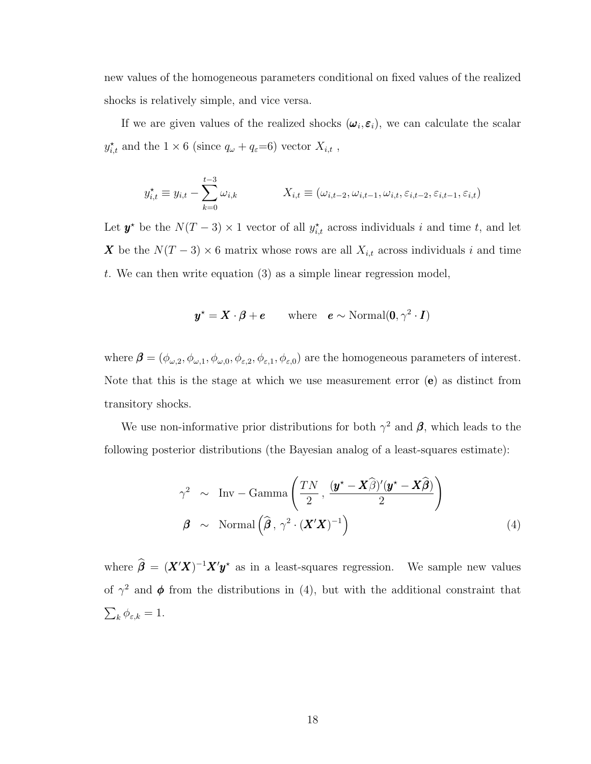new values of the homogeneous parameters conditional on fixed values of the realized shocks is relatively simple, and vice versa.

If we are given values of the realized shocks  $(\omega_i, \varepsilon_i)$ , we can calculate the scalar  $y_{i,t}^{\star}$  and the  $1 \times 6$  (since  $q_{\omega} + q_{\varepsilon} = 6$ ) vector  $X_{i,t}$ ,

$$
y_{i,t}^{\star} \equiv y_{i,t} - \sum_{k=0}^{t-3} \omega_{i,k} \qquad X_{i,t} \equiv (\omega_{i,t-2}, \omega_{i,t-1}, \omega_{i,t}, \varepsilon_{i,t-2}, \varepsilon_{i,t-1}, \varepsilon_{i,t})
$$

Let  $y^*$  be the  $N(T-3) \times 1$  vector of all  $y_{i,t}^*$  across individuals i and time t, and let X be the  $N(T-3) \times 6$  matrix whose rows are all  $X_{i,t}$  across individuals i and time t. We can then write equation  $(3)$  as a simple linear regression model,

$$
\mathbf{y}^{\star} = \mathbf{X} \cdot \boldsymbol{\beta} + \boldsymbol{e} \qquad \text{where} \quad \boldsymbol{e} \sim \text{Normal}(\mathbf{0}, \gamma^2 \cdot \mathbf{I})
$$

where  $\boldsymbol{\beta} = (\phi_{\omega,2}, \phi_{\omega,1}, \phi_{\omega,0}, \phi_{\varepsilon,2}, \phi_{\varepsilon,1}, \phi_{\varepsilon,0})$  are the homogeneous parameters of interest. Note that this is the stage at which we use measurement error  $(e)$  as distinct from transitory shocks.

We use non-informative prior distributions for both  $\gamma^2$  and  $\beta$ , which leads to the following posterior distributions (the Bayesian analog of a least-squares estimate):

$$
\gamma^2 \sim \text{Inv} - \text{Gamma}\left(\frac{TN}{2}, \frac{(\mathbf{y}^* - \mathbf{X}\widehat{\boldsymbol{\beta}})'(\mathbf{y}^* - \mathbf{X}\widehat{\boldsymbol{\beta}})}{2}\right)
$$
  

$$
\boldsymbol{\beta} \sim \text{Normal}\left(\widehat{\boldsymbol{\beta}}, \gamma^2 \cdot (\mathbf{X}'\mathbf{X})^{-1}\right)
$$
 (4)

where  $\hat{\beta} = (X'X)^{-1}X'y^*$  as in a least-squares regression. We sample new values of  $\gamma^2$  and  $\phi$  from the distributions in (4), but with the additional constraint that  $\sum_{k} \phi_{\varepsilon,k} = 1.$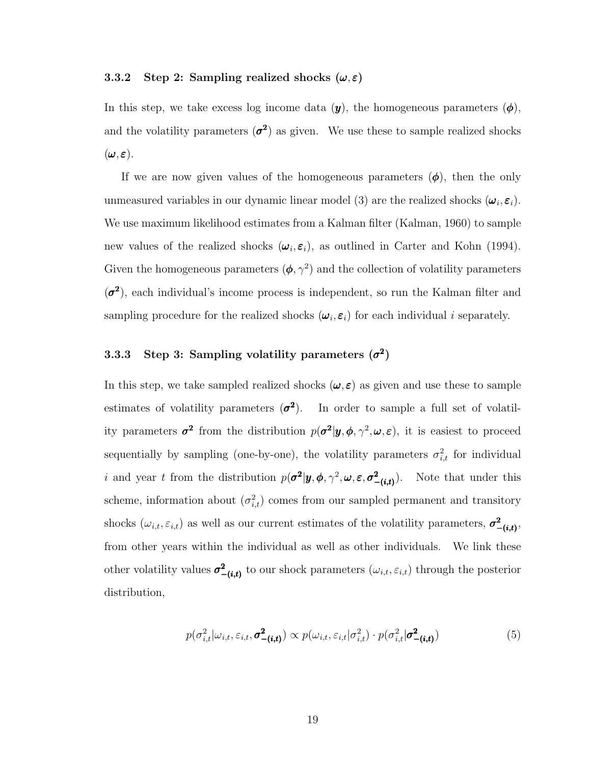#### 3.3.2 Step 2: Sampling realized shocks  $(\omega, \varepsilon)$

In this step, we take excess log income data  $(y)$ , the homogeneous parameters  $(\phi)$ , and the volatility parameters  $(\sigma^2)$  as given. We use these to sample realized shocks  $(\boldsymbol{\omega}, \boldsymbol{\varepsilon}).$ 

If we are now given values of the homogeneous parameters  $(\phi)$ , then the only unmeasured variables in our dynamic linear model (3) are the realized shocks  $(\omega_i, \varepsilon_i)$ . We use maximum likelihood estimates from a Kalman filter (Kalman, 1960) to sample new values of the realized shocks  $(\omega_i, \varepsilon_i)$ , as outlined in Carter and Kohn (1994). Given the homogeneous parameters  $(\phi, \gamma^2)$  and the collection of volatility parameters  $(\sigma^2)$ , each individual's income process is independent, so run the Kalman filter and sampling procedure for the realized shocks  $(\omega_i, \varepsilon_i)$  for each individual i separately.

#### 3.3.3 Step 3: Sampling volatility parameters  $(\sigma^2)$

In this step, we take sampled realized shocks  $(\omega, \varepsilon)$  as given and use these to sample estimates of volatility parameters  $\mathcal{L}^2$ ). In order to sample a full set of volatility parameters  $\sigma^2$  from the distribution  $p(\sigma^2 | y, \phi, \gamma^2, \omega, \varepsilon)$ , it is easiest to proceed sequentially by sampling (one-by-one), the volatility parameters  $\sigma_{i,t}^2$  for individual *i* and year t from the distribution  $p(\sigma^2 | y, \phi, \gamma^2, \omega, \varepsilon, \sigma^2_{-(i,t)})$ . Note that under this scheme, information about  $(\sigma_{i,t}^2)$  comes from our sampled permanent and transitory shocks  $(\omega_{i,t}, \varepsilon_{i,t})$  as well as our current estimates of the volatility parameters,  $\sigma^2_{-(i,t)}$ , from other years within the individual as well as other individuals. We link these other volatility values  $\sigma^2_{-(i,t)}$  to our shock parameters  $(\omega_{i,t}, \varepsilon_{i,t})$  through the posterior distribution,

$$
p(\sigma_{i,t}^2 | \omega_{i,t}, \varepsilon_{i,t}, \sigma_{-(i,t)}^2) \propto p(\omega_{i,t}, \varepsilon_{i,t} | \sigma_{i,t}^2) \cdot p(\sigma_{i,t}^2 | \sigma_{-(i,t)}^2)
$$
(5)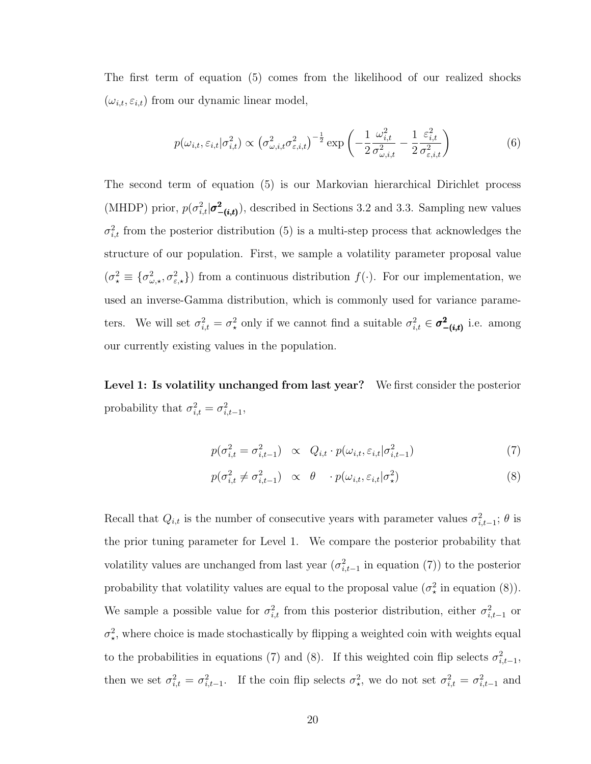The first term of equation (5) comes from the likelihood of our realized shocks  $(\omega_{i,t}, \varepsilon_{i,t})$  from our dynamic linear model,

$$
p(\omega_{i,t}, \varepsilon_{i,t} | \sigma_{i,t}^2) \propto \left(\sigma_{\omega,i,t}^2 \sigma_{\varepsilon,i,t}^2\right)^{-\frac{1}{2}} \exp\left(-\frac{1}{2} \frac{\omega_{i,t}^2}{\sigma_{\omega,i,t}^2} - \frac{1}{2} \frac{\varepsilon_{i,t}^2}{\sigma_{\varepsilon,i,t}^2}\right)
$$
(6)

The second term of equation (5) is our Markovian hierarchical Dirichlet process (MHDP) prior,  $p(\sigma_{i,t}^2|\sigma_{-(i,t)}^2)$ , described in Sections 3.2 and 3.3. Sampling new values  $\sigma_{i,t}^2$  from the posterior distribution (5) is a multi-step process that acknowledges the structure of our population. First, we sample a volatility parameter proposal value  $(\sigma^2_{\star} \equiv {\sigma^2_{\omega,\star}}, \sigma^2_{\varepsilon,\star})$  from a continuous distribution  $f(\cdot)$ . For our implementation, we used an inverse-Gamma distribution, which is commonly used for variance parameters. We will set  $\sigma_{i,t}^2 = \sigma_{\star}^2$  only if we cannot find a suitable  $\sigma_{i,t}^2 \in \sigma_{-(i,t)}^2$  i.e. among our currently existing values in the population.

Level 1: Is volatility unchanged from last year? We first consider the posterior probability that  $\sigma_{i,t}^2 = \sigma_{i,t-1}^2$ ,

$$
p(\sigma_{i,t}^2 = \sigma_{i,t-1}^2) \propto Q_{i,t} \cdot p(\omega_{i,t}, \varepsilon_{i,t} | \sigma_{i,t-1}^2)
$$
\n
$$
\tag{7}
$$

$$
p(\sigma_{i,t}^2 \neq \sigma_{i,t-1}^2) \propto \theta \quad p(\omega_{i,t}, \varepsilon_{i,t} | \sigma_x^2)
$$
 (8)

Recall that  $Q_{i,t}$  is the number of consecutive years with parameter values  $\sigma_{i,t-1}^2$ ;  $\theta$  is the prior tuning parameter for Level 1. We compare the posterior probability that volatility values are unchanged from last year  $(\sigma_{i,t-1}^2)$  in equation (7)) to the posterior probability that volatility values are equal to the proposal value  $(\sigma^2)$  in equation (8). We sample a possible value for  $\sigma_{i,t}^2$  from this posterior distribution, either  $\sigma_{i,t-1}^2$  or  $\sigma_{\star}^2$ , where choice is made stochastically by flipping a weighted coin with weights equal to the probabilities in equations (7) and (8). If this weighted coin flip selects  $\sigma_{i,t-1}^2$ , then we set  $\sigma_{i,t}^2 = \sigma_{i,t-1}^2$ . If the coin flip selects  $\sigma_{\star}^2$ , we do not set  $\sigma_{i,t}^2 = \sigma_{i,t-1}^2$  and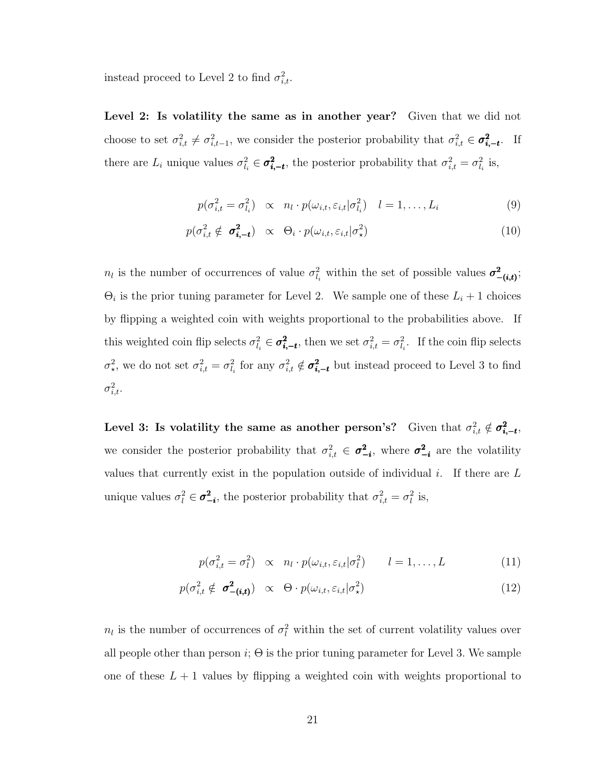instead proceed to Level 2 to find  $\sigma_{i,t}^2$ .

Level 2: Is volatility the same as in another year? Given that we did not choose to set  $\sigma_{i,t}^2 \neq \sigma_{i,t-1}^2$ , we consider the posterior probability that  $\sigma_{i,t}^2 \in \sigma_{i,-t}^2$ . If there are  $L_i$  unique values  $\sigma_{i}^2 \in \sigma_{i,-t}^2$ , the posterior probability that  $\sigma_{i,t}^2 = \sigma_{i}^2$  is,

$$
p(\sigma_{i,t}^2 = \sigma_{l_i}^2) \propto n_l \cdot p(\omega_{i,t}, \varepsilon_{i,t} | \sigma_{l_i}^2) \quad l = 1, \dots, L_i
$$
 (9)

$$
p(\sigma_{i,t}^2 \notin \sigma_{i,-t}^2) \propto \Theta_i \cdot p(\omega_{i,t}, \varepsilon_{i,t} | \sigma_x^2)
$$
 (10)

 $n_l$  is the number of occurrences of value  $\sigma_{l_i}^2$  within the set of possible values  $\sigma_{-(i,t)}^2$ ;  $\Theta_i$  is the prior tuning parameter for Level 2. We sample one of these  $L_i + 1$  choices by flipping a weighted coin with weights proportional to the probabilities above. If this weighted coin flip selects  $\sigma_{i_j}^2 \in \sigma_{i_j-t}^2$ , then we set  $\sigma_{i,t}^2 = \sigma_{i_j}^2$ . If the coin flip selects  $\sigma^2_{\star}$ , we do not set  $\sigma^2_{i,t} = \sigma^2_{l_i}$  for any  $\sigma^2_{i,t} \notin \sigma^2_{i,-t}$  but instead proceed to Level 3 to find  $\sigma_{i,t}^2$ .

Level 3: Is volatility the same as another person's? Given that  $\sigma_{i,t}^2 \notin \sigma_{i,-t}^2$ , we consider the posterior probability that  $\sigma_{i,t}^2 \in \sigma_{-i}^2$ , where  $\sigma_{-i}^2$  are the volatility values that currently exist in the population outside of individual i. If there are  $L$ unique values  $\sigma_l^2 \in \sigma_{-i}^2$ , the posterior probability that  $\sigma_{i,t}^2 = \sigma_l^2$  is,

$$
p(\sigma_{i,t}^2 = \sigma_l^2) \propto n_l \cdot p(\omega_{i,t}, \varepsilon_{i,t} | \sigma_l^2) \qquad l = 1, ..., L \tag{11}
$$

$$
p(\sigma_{i,t}^2 \notin \sigma_{-(i,t)}^2) \propto \Theta \cdot p(\omega_{i,t}, \varepsilon_{i,t} | \sigma_{\star}^2)
$$
 (12)

 $n_l$  is the number of occurrences of  $\sigma_l^2$  within the set of current volatility values over all people other than person  $i$ ;  $\Theta$  is the prior tuning parameter for Level 3. We sample one of these  $L + 1$  values by flipping a weighted coin with weights proportional to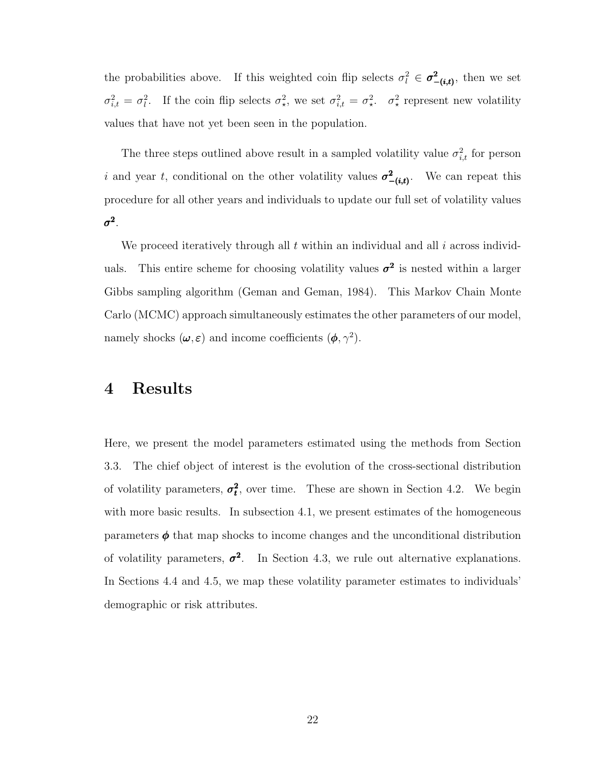the probabilities above. If this weighted coin flip selects  $\sigma_l^2 \in \sigma_{-(i,t)}^2$ , then we set  $\sigma_{i,t}^2 = \sigma_t^2$ . If the coin flip selects  $\sigma_{\star}^2$ , we set  $\sigma_{i,t}^2 = \sigma_{\star}^2$ .  $\sigma_{\star}^2$  represent new volatility values that have not yet been seen in the population.

The three steps outlined above result in a sampled volatility value  $\sigma_{i,t}^2$  for person i and year t, conditional on the other volatility values  $\sigma^2_{-(i,t)}$ . We can repeat this procedure for all other years and individuals to update our full set of volatility values  $\sigma^2$  .

We proceed iteratively through all  $t$  within an individual and all  $i$  across individuals. This entire scheme for choosing volatility values  $\sigma^2$  is nested within a larger Gibbs sampling algorithm (Geman and Geman, 1984). This Markov Chain Monte Carlo (MCMC) approach simultaneously estimates the other parameters of our model, namely shocks  $(\omega, \varepsilon)$  and income coefficients  $(\phi, \gamma^2)$ .

### 4 Results

Here, we present the model parameters estimated using the methods from Section 3.3. The chief object of interest is the evolution of the cross-sectional distribution of volatility parameters,  $\sigma_t^2$ , over time. These are shown in Section 4.2. We begin with more basic results. In subsection 4.1, we present estimates of the homogeneous parameters  $\phi$  that map shocks to income changes and the unconditional distribution of volatility parameters,  $\sigma^2$ . In Section 4.3, we rule out alternative explanations. In Sections 4.4 and 4.5, we map these volatility parameter estimates to individuals' demographic or risk attributes.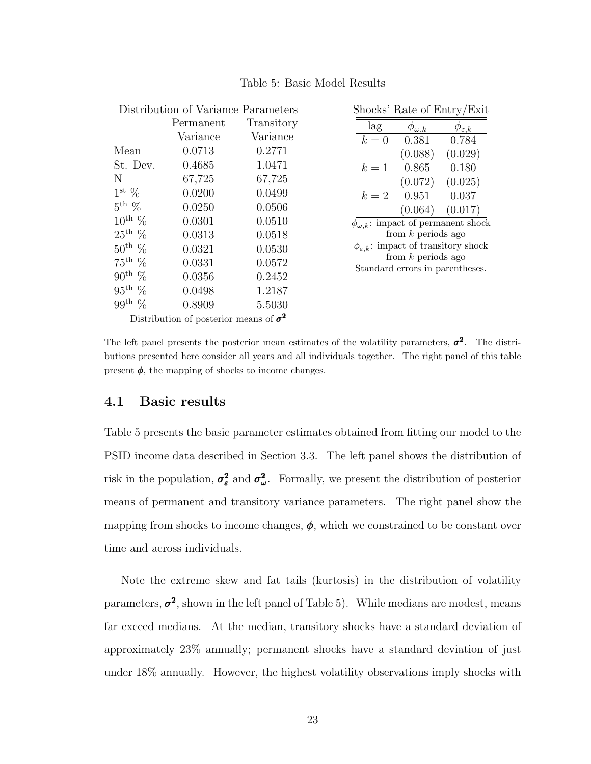|                      | Distribution of Variance Parameters |            | Shocks' Rate of Entry/Exit                              |
|----------------------|-------------------------------------|------------|---------------------------------------------------------|
|                      | Permanent                           | Transitory | lag<br>$\phi_{\omega,k}$<br>$\phi_{\varepsilon,k}$      |
|                      | Variance                            | Variance   | 0.381<br>0.784<br>$k=0$                                 |
| Mean                 | 0.0713                              | 0.2771     | (0.088)<br>(0.029)                                      |
| St. Dev.             | 0.4685                              | 1.0471     | 0.865<br>0.180<br>$k=1$                                 |
| N                    | 67,725                              | 67,725     | (0.025)<br>(0.072)                                      |
| $1^{\rm st}$ %       | 0.0200                              | 0.0499     | 0.951<br>0.037<br>$k=2$                                 |
| $5^{\text{th}}$ %    | 0.0250                              | 0.0506     | (0.017)<br>(0.064)                                      |
| $10^{\text{th}}$ %   | 0.0301                              | 0.0510     | $\phi_{\omega,k}$ : impact of permanent shock           |
| $25^{\text{th}}$ %   | 0.0313                              | 0.0518     | from $k$ periods ago                                    |
| $50^{\text{th}}$ %   | 0.0321                              | 0.0530     | $\phi_{\varepsilon,k}$ : impact of transitory shock     |
| $75^{\rm th}$ %      | 0.0331                              | 0.0572     | from $k$ periods ago<br>Standard errors in parentheses. |
| $90^{\text{th}}$ %   | 0.0356                              | 0.2452     |                                                         |
| $95^{\text{th}}$ %   | 0.0498                              | 1.2187     |                                                         |
| 99 <sup>th</sup> $%$ | 0.8909                              | 5.5030     |                                                         |

Table 5: Basic Model Results

Distribution of posterior means of  $\sigma^2$ 

The left panel presents the posterior mean estimates of the volatility parameters,  $\sigma^2$ . The distributions presented here consider all years and all individuals together. The right panel of this table present  $\phi$ , the mapping of shocks to income changes.

#### 4.1 Basic results

Table 5 presents the basic parameter estimates obtained from fitting our model to the PSID income data described in Section 3.3. The left panel shows the distribution of risk in the population,  $\sigma_{\varepsilon}^2$  and  $\sigma_{\omega}^2$ . Formally, we present the distribution of posterior means of permanent and transitory variance parameters. The right panel show the mapping from shocks to income changes,  $\phi$ , which we constrained to be constant over time and across individuals.

Note the extreme skew and fat tails (kurtosis) in the distribution of volatility parameters,  $\sigma^2$ , shown in the left panel of Table 5). While medians are modest, means far exceed medians. At the median, transitory shocks have a standard deviation of approximately 23% annually; permanent shocks have a standard deviation of just under 18% annually. However, the highest volatility observations imply shocks with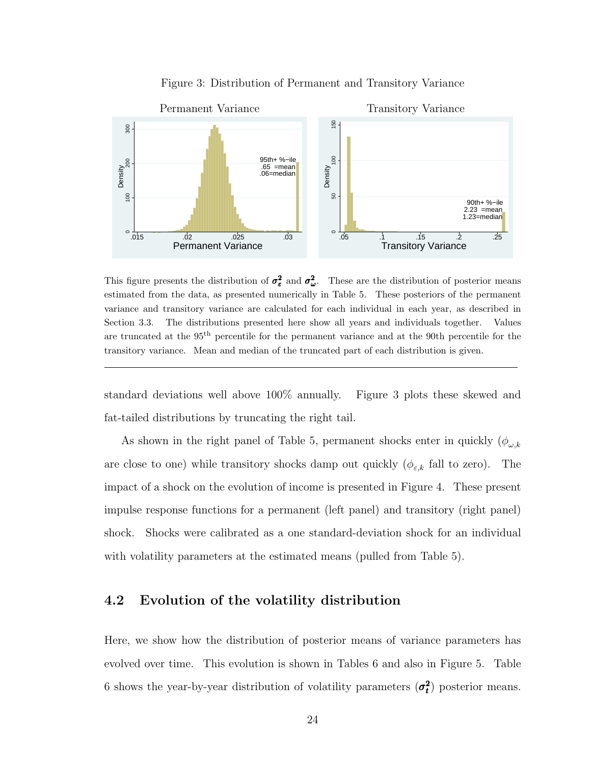

Figure 3: Distribution of Permanent and Transitory Variance

This figure presents the distribution of  $\sigma_{\varepsilon}^2$  and  $\sigma_{\omega}^2$ . These are the distribution of posterior means estimated from the data, as presented numerically in Table 5. These posteriors of the permanent variance and transitory variance are calculated for each individual in each year, as described in Section 3.3. The distributions presented here show all years and individuals together. Values are truncated at the 95<sup>th</sup> percentile for the permanent variance and at the 90th percentile for the transitory variance. Mean and median of the truncated part of each distribution is given.

standard deviations well above 100% annually. Figure 3 plots these skewed and fat-tailed distributions by truncating the right tail.

As shown in the right panel of Table 5, permanent shocks enter in quickly  $(\phi_{\omega,k})$ are close to one) while transitory shocks damp out quickly  $(\phi_{\varepsilon,k})$  fall to zero). The impact of a shock on the evolution of income is presented in Figure 4. These present impulse response functions for a permanent (left panel) and transitory (right panel) shock. Shocks were calibrated as a one standard-deviation shock for an individual with volatility parameters at the estimated means (pulled from Table 5).

#### 4.2 Evolution of the volatility distribution

Here, we show how the distribution of posterior means of variance parameters has evolved over time. This evolution is shown in Tables 6 and also in Figure 5. Table 6 shows the year-by-year distribution of volatility parameters  $(\sigma_t^2)$  posterior means.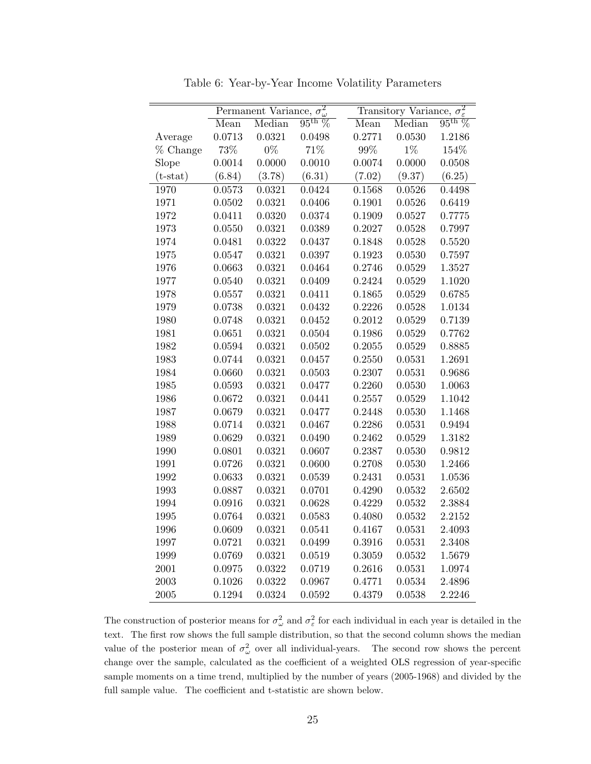|            |        | Permanent Variance, | $\overline{\sigma_{\omega}^2}$ |        | Transitory Variance, $\sigma_{\varepsilon}^2$ |                 |
|------------|--------|---------------------|--------------------------------|--------|-----------------------------------------------|-----------------|
|            | Mean   | Median              | $95^{\text{th}}\%$             | Mean   | Median                                        | $95^{\rm th}$ % |
| Average    | 0.0713 | 0.0321              | 0.0498                         | 0.2771 | 0.0530                                        | 1.2186          |
| % Change   | 73%    | $0\%$               | 71%                            | 99%    | $1\%$                                         | 154%            |
| Slope      | 0.0014 | 0.0000              | 0.0010                         | 0.0074 | 0.0000                                        | 0.0508          |
| $(t-stat)$ | (6.84) | (3.78)              | (6.31)                         | (7.02) | (9.37)                                        | (6.25)          |
| 1970       | 0.0573 | 0.0321              | 0.0424                         | 0.1568 | 0.0526                                        | 0.4498          |
| 1971       | 0.0502 | 0.0321              | 0.0406                         | 0.1901 | 0.0526                                        | 0.6419          |
| 1972       | 0.0411 | 0.0320              | 0.0374                         | 0.1909 | 0.0527                                        | 0.7775          |
| 1973       | 0.0550 | 0.0321              | 0.0389                         | 0.2027 | 0.0528                                        | 0.7997          |
| 1974       | 0.0481 | 0.0322              | 0.0437                         | 0.1848 | 0.0528                                        | 0.5520          |
| 1975       | 0.0547 | 0.0321              | 0.0397                         | 0.1923 | 0.0530                                        | 0.7597          |
| 1976       | 0.0663 | 0.0321              | 0.0464                         | 0.2746 | 0.0529                                        | 1.3527          |
| 1977       | 0.0540 | 0.0321              | 0.0409                         | 0.2424 | 0.0529                                        | 1.1020          |
| 1978       | 0.0557 | 0.0321              | 0.0411                         | 0.1865 | 0.0529                                        | 0.6785          |
| 1979       | 0.0738 | 0.0321              | 0.0432                         | 0.2226 | 0.0528                                        | 1.0134          |
| 1980       | 0.0748 | 0.0321              | 0.0452                         | 0.2012 | 0.0529                                        | 0.7139          |
| 1981       | 0.0651 | 0.0321              | 0.0504                         | 0.1986 | 0.0529                                        | 0.7762          |
| 1982       | 0.0594 | 0.0321              | 0.0502                         | 0.2055 | 0.0529                                        | 0.8885          |
| 1983       | 0.0744 | 0.0321              | 0.0457                         | 0.2550 | 0.0531                                        | 1.2691          |
| 1984       | 0.0660 | 0.0321              | 0.0503                         | 0.2307 | 0.0531                                        | 0.9686          |
| 1985       | 0.0593 | 0.0321              | 0.0477                         | 0.2260 | 0.0530                                        | 1.0063          |
| 1986       | 0.0672 | 0.0321              | 0.0441                         | 0.2557 | 0.0529                                        | 1.1042          |
| 1987       | 0.0679 | 0.0321              | 0.0477                         | 0.2448 | 0.0530                                        | 1.1468          |
| 1988       | 0.0714 | 0.0321              | 0.0467                         | 0.2286 | 0.0531                                        | 0.9494          |
| 1989       | 0.0629 | 0.0321              | 0.0490                         | 0.2462 | 0.0529                                        | 1.3182          |
| 1990       | 0.0801 | 0.0321              | 0.0607                         | 0.2387 | 0.0530                                        | 0.9812          |
| 1991       | 0.0726 | 0.0321              | 0.0600                         | 0.2708 | 0.0530                                        | 1.2466          |
| 1992       | 0.0633 | 0.0321              | 0.0539                         | 0.2431 | 0.0531                                        | 1.0536          |
| 1993       | 0.0887 | 0.0321              | 0.0701                         | 0.4290 | 0.0532                                        | 2.6502          |
| 1994       | 0.0916 | 0.0321              | 0.0628                         | 0.4229 | 0.0532                                        | 2.3884          |
| 1995       | 0.0764 | 0.0321              | 0.0583                         | 0.4080 | 0.0532                                        | 2.2152          |
| 1996       | 0.0609 | 0.0321              | 0.0541                         | 0.4167 | 0.0531                                        | 2.4093          |
| 1997       | 0.0721 | 0.0321              | 0.0499                         | 0.3916 | 0.0531                                        | 2.3408          |
| 1999       | 0.0769 | 0.0321              | 0.0519                         | 0.3059 | 0.0532                                        | 1.5679          |
| 2001       | 0.0975 | 0.0322              | 0.0719                         | 0.2616 | 0.0531                                        | 1.0974          |
| 2003       | 0.1026 | 0.0322              | 0.0967                         | 0.4771 | 0.0534                                        | 2.4896          |
| 2005       | 0.1294 | 0.0324              | 0.0592                         | 0.4379 | 0.0538                                        | 2.2246          |

Table 6: Year-by-Year Income Volatility Parameters

The construction of posterior means for  $\sigma_{\omega}^2$  and  $\sigma_{\varepsilon}^2$  for each individual in each year is detailed in the text. The first row shows the full sample distribution, so that the second column shows the median value of the posterior mean of  $\sigma_{\omega}^2$  over all individual-years. The second row shows the percent change over the sample, calculated as the coefficient of a weighted OLS regression of year-specific sample moments on a time trend, multiplied by the number of years (2005-1968) and divided by the full sample value. The coefficient and t-statistic are shown below.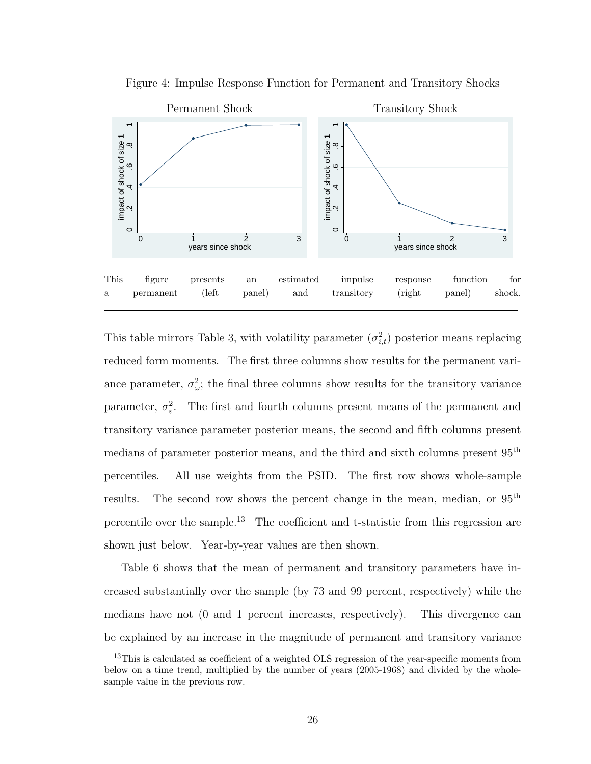

Figure 4: Impulse Response Function for Permanent and Transitory Shocks

This table mirrors Table 3, with volatility parameter  $(\sigma_{i,t}^2)$  posterior means replacing reduced form moments. The first three columns show results for the permanent variance parameter,  $\sigma_{\omega}^2$ ; the final three columns show results for the transitory variance parameter,  $\sigma_{\varepsilon}^2$ . The first and fourth columns present means of the permanent and transitory variance parameter posterior means, the second and fifth columns present medians of parameter posterior means, and the third and sixth columns present 95th percentiles. All use weights from the PSID. The first row shows whole-sample results. The second row shows the percent change in the mean, median, or  $95<sup>th</sup>$ percentile over the sample.<sup>13</sup> The coefficient and t-statistic from this regression are shown just below. Year-by-year values are then shown.

Table 6 shows that the mean of permanent and transitory parameters have increased substantially over the sample (by 73 and 99 percent, respectively) while the medians have not (0 and 1 percent increases, respectively). This divergence can be explained by an increase in the magnitude of permanent and transitory variance

<sup>&</sup>lt;sup>13</sup>This is calculated as coefficient of a weighted OLS regression of the year-specific moments from below on a time trend, multiplied by the number of years (2005-1968) and divided by the wholesample value in the previous row.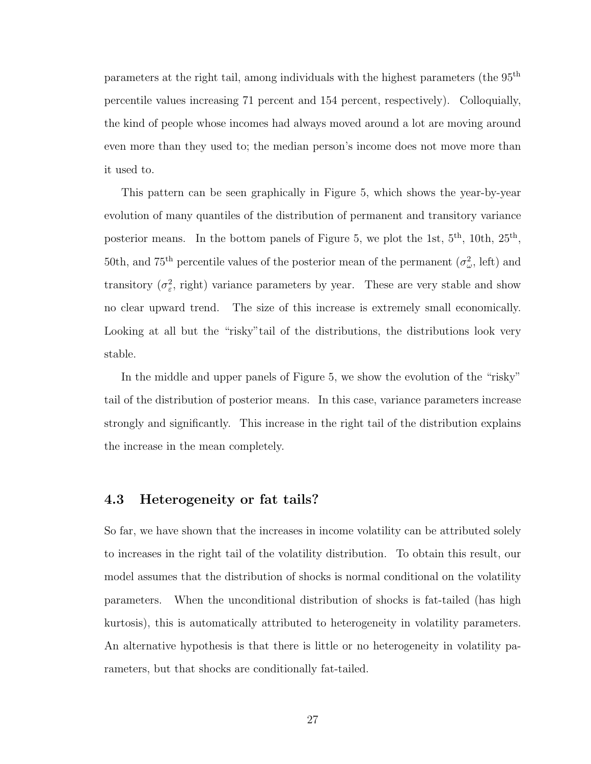parameters at the right tail, among individuals with the highest parameters (the 95th percentile values increasing 71 percent and 154 percent, respectively). Colloquially, the kind of people whose incomes had always moved around a lot are moving around even more than they used to; the median person's income does not move more than it used to.

This pattern can be seen graphically in Figure 5, which shows the year-by-year evolution of many quantiles of the distribution of permanent and transitory variance posterior means. In the bottom panels of Figure 5, we plot the 1st,  $5<sup>th</sup>$ , 10th,  $25<sup>th</sup>$ , 50th, and 75<sup>th</sup> percentile values of the posterior mean of the permanent  $(\sigma_{\omega}^2, \text{ left})$  and transitory  $(\sigma_{\varepsilon}^2, rightharpoonup$  variance parameters by year. These are very stable and show no clear upward trend. The size of this increase is extremely small economically. Looking at all but the "risky"tail of the distributions, the distributions look very stable.

In the middle and upper panels of Figure 5, we show the evolution of the "risky" tail of the distribution of posterior means. In this case, variance parameters increase strongly and significantly. This increase in the right tail of the distribution explains the increase in the mean completely.

#### 4.3 Heterogeneity or fat tails?

So far, we have shown that the increases in income volatility can be attributed solely to increases in the right tail of the volatility distribution. To obtain this result, our model assumes that the distribution of shocks is normal conditional on the volatility parameters. When the unconditional distribution of shocks is fat-tailed (has high kurtosis), this is automatically attributed to heterogeneity in volatility parameters. An alternative hypothesis is that there is little or no heterogeneity in volatility parameters, but that shocks are conditionally fat-tailed.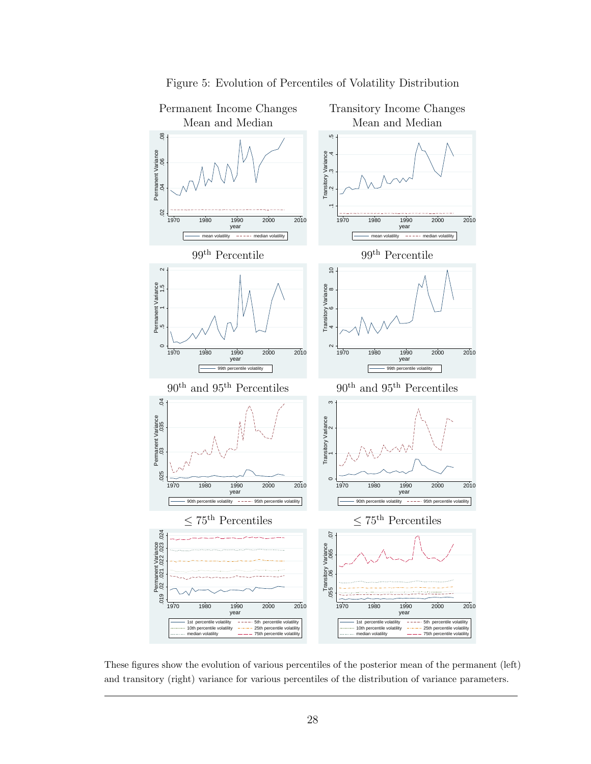

#### Figure 5: Evolution of Percentiles of Volatility Distribution

These figures show the evolution of various percentiles of the posterior mean of the permanent (left) and transitory (right) variance for various percentiles of the distribution of variance parameters.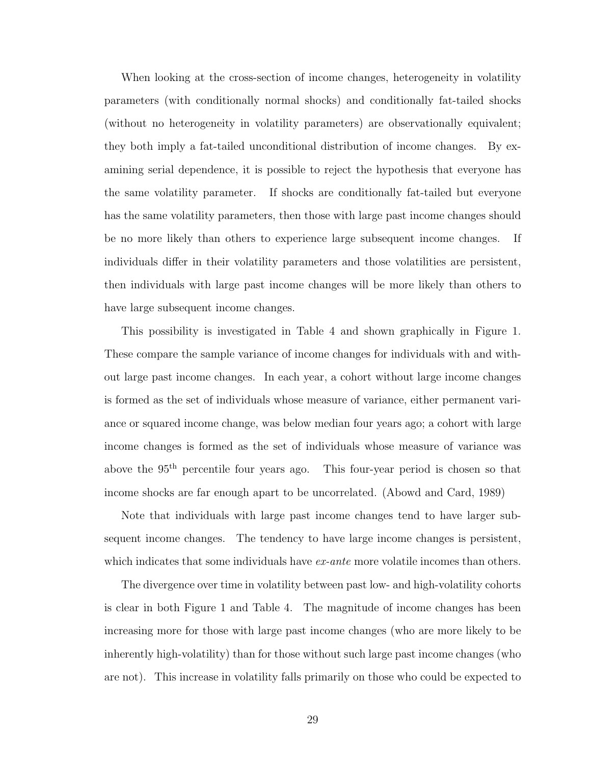When looking at the cross-section of income changes, heterogeneity in volatility parameters (with conditionally normal shocks) and conditionally fat-tailed shocks (without no heterogeneity in volatility parameters) are observationally equivalent; they both imply a fat-tailed unconditional distribution of income changes. By examining serial dependence, it is possible to reject the hypothesis that everyone has the same volatility parameter. If shocks are conditionally fat-tailed but everyone has the same volatility parameters, then those with large past income changes should be no more likely than others to experience large subsequent income changes. If individuals differ in their volatility parameters and those volatilities are persistent, then individuals with large past income changes will be more likely than others to have large subsequent income changes.

This possibility is investigated in Table 4 and shown graphically in Figure 1. These compare the sample variance of income changes for individuals with and without large past income changes. In each year, a cohort without large income changes is formed as the set of individuals whose measure of variance, either permanent variance or squared income change, was below median four years ago; a cohort with large income changes is formed as the set of individuals whose measure of variance was above the 95<sup>th</sup> percentile four years ago. This four-year period is chosen so that income shocks are far enough apart to be uncorrelated. (Abowd and Card, 1989)

Note that individuals with large past income changes tend to have larger subsequent income changes. The tendency to have large income changes is persistent, which indicates that some individuals have ex-ante more volatile incomes than others.

The divergence over time in volatility between past low- and high-volatility cohorts is clear in both Figure 1 and Table 4. The magnitude of income changes has been increasing more for those with large past income changes (who are more likely to be inherently high-volatility) than for those without such large past income changes (who are not). This increase in volatility falls primarily on those who could be expected to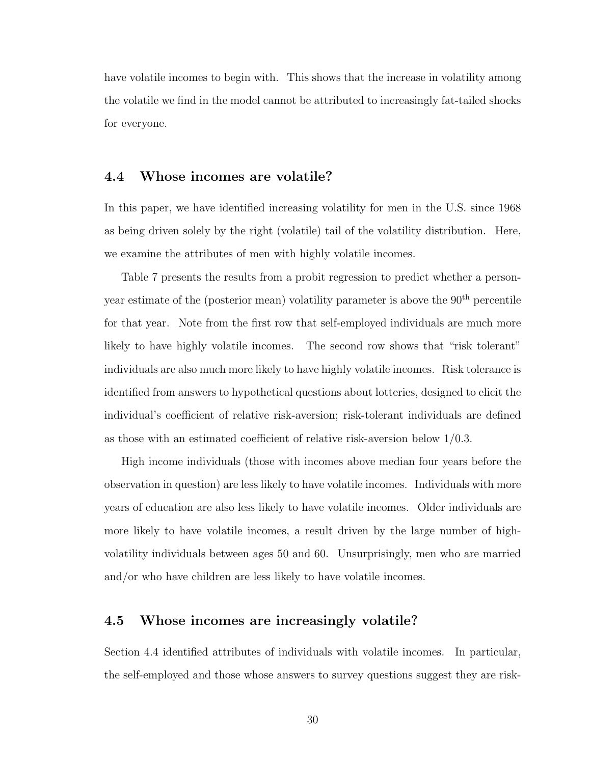have volatile incomes to begin with. This shows that the increase in volatility among the volatile we find in the model cannot be attributed to increasingly fat-tailed shocks for everyone.

#### 4.4 Whose incomes are volatile?

In this paper, we have identified increasing volatility for men in the U.S. since 1968 as being driven solely by the right (volatile) tail of the volatility distribution. Here, we examine the attributes of men with highly volatile incomes.

Table 7 presents the results from a probit regression to predict whether a personyear estimate of the (posterior mean) volatility parameter is above the  $90<sup>th</sup>$  percentile for that year. Note from the first row that self-employed individuals are much more likely to have highly volatile incomes. The second row shows that "risk tolerant" individuals are also much more likely to have highly volatile incomes. Risk tolerance is identified from answers to hypothetical questions about lotteries, designed to elicit the individual's coefficient of relative risk-aversion; risk-tolerant individuals are defined as those with an estimated coefficient of relative risk-aversion below 1/0.3.

High income individuals (those with incomes above median four years before the observation in question) are less likely to have volatile incomes. Individuals with more years of education are also less likely to have volatile incomes. Older individuals are more likely to have volatile incomes, a result driven by the large number of highvolatility individuals between ages 50 and 60. Unsurprisingly, men who are married and/or who have children are less likely to have volatile incomes.

#### 4.5 Whose incomes are increasingly volatile?

Section 4.4 identified attributes of individuals with volatile incomes. In particular, the self-employed and those whose answers to survey questions suggest they are risk-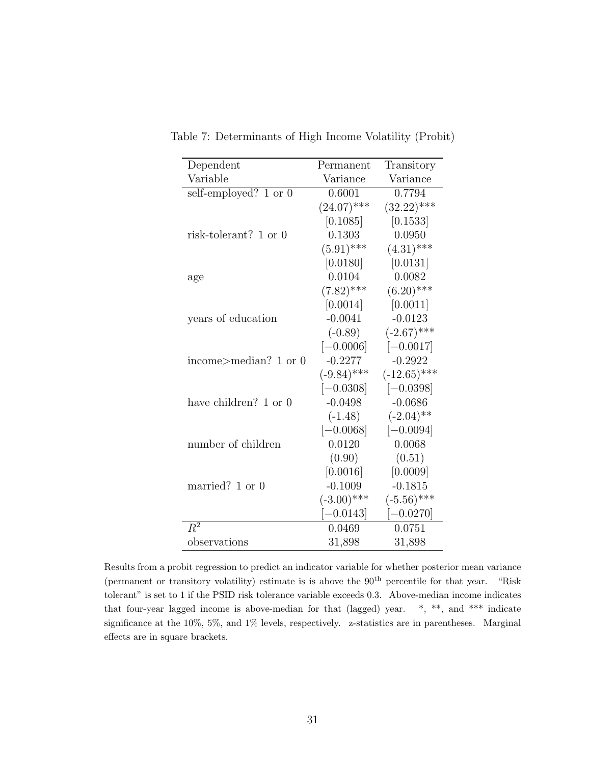| Dependent                        | Permanent     | Transitory     |
|----------------------------------|---------------|----------------|
| Variable                         | Variance      | Variance       |
| self-employed? $1 \text{ or } 0$ | 0.6001        | 0.7794         |
|                                  | $(24.07)$ *** | $(32.22)$ ***  |
|                                  | [0.1085]      | [0.1533]       |
| risk-tolerant? 1 or 0            | 0.1303        | 0.0950         |
|                                  | $(5.91)$ ***  | $(4.31)$ ***   |
|                                  | [0.0180]      | [0.0131]       |
| age                              | 0.0104        | 0.0082         |
|                                  | $(7.82)$ ***  | $(6.20)$ ***   |
|                                  | [0.0014]      | [0.0011]       |
| years of education               | $-0.0041$     | $-0.0123$      |
|                                  | $(-0.89)$     | $(-2.67)$ ***  |
|                                  | $[-0.0006]$   | $[-0.0017]$    |
| income>median? 1 or 0            | $-0.2277$     | $-0.2922$      |
|                                  | $(-9.84)$ *** | $(-12.65)$ *** |
|                                  | $[-0.0308]$   | $[-0.0398]$    |
| have children? 1 or 0            | $-0.0498$     | $-0.0686$      |
|                                  | $(-1.48)$     | $(-2.04)$ **   |
|                                  | $[-0.0068]$   | $[-0.0094]$    |
| number of children               | 0.0120        | 0.0068         |
|                                  | (0.90)        | (0.51)         |
|                                  | [0.0016]      | [0.0009]       |
| married? 1 or 0                  | $-0.1009$     | $-0.1815$      |
|                                  | $(-3.00)$ *** | $(-5.56)$ ***  |
|                                  | $[-0.0143]$   | $[-0.0270]$    |
| $R^2$                            | 0.0469        | 0.0751         |
| observations                     | 31,898        | 31,898         |

Table 7: Determinants of High Income Volatility (Probit)

Results from a probit regression to predict an indicator variable for whether posterior mean variance (permanent or transitory volatility) estimate is is above the 90<sup>th</sup> percentile for that year. "Risk tolerant" is set to 1 if the PSID risk tolerance variable exceeds 0.3. Above-median income indicates that four-year lagged income is above-median for that (lagged) year. \*, \*\*, and \*\*\* indicate significance at the 10%, 5%, and 1% levels, respectively. z-statistics are in parentheses. Marginal effects are in square brackets.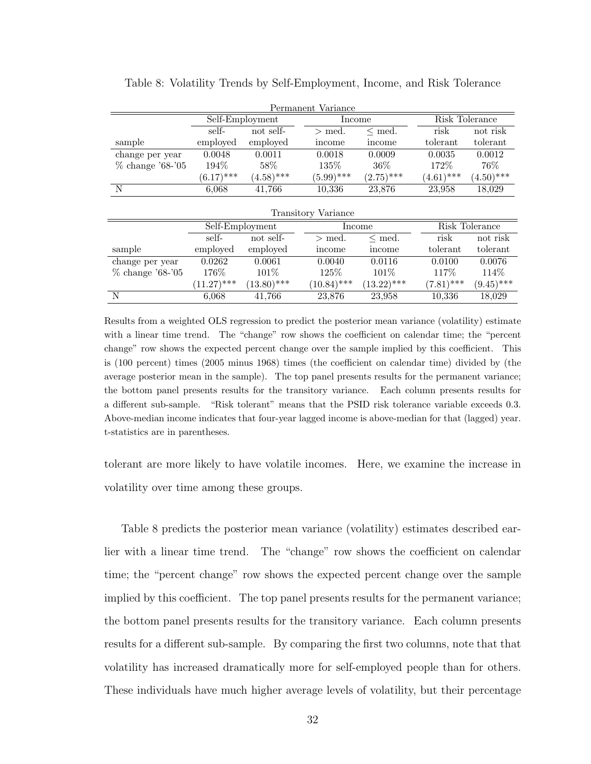|                            |                 |              | Permanent Variance |              |              |                |  |
|----------------------------|-----------------|--------------|--------------------|--------------|--------------|----------------|--|
|                            | Self-Employment |              | Income             |              |              | Risk Tolerance |  |
|                            | self-           | not self-    |                    | $\leq$ med.  | risk         | not risk       |  |
| sample                     | employed        | employed     | income             | mcome        | tolerant     | tolerant       |  |
| change per year            | 0.0048          | 0.0011       | 0.0018             | 0.0009       | 0.0035       | 0.0012         |  |
| $\%$ change '68-'05        | 194%            | 58\%         | 135\%              | $36\%$       | 172\%        | 76%            |  |
|                            | $(6.17)$ ***    | $(4.58)$ *** | $(5.99)$ ***       | $(2.75)$ *** | $(4.61)$ *** | $(4.50)$ ***   |  |
| N                          | 6,068           | 41,766       | 10,336             | 23,876       | 23,958       | 18,029         |  |
| <b>Transitory Variance</b> |                 |              |                    |              |              |                |  |
|                            | Self-Employment |              |                    | Income       |              | Risk Tolerance |  |
|                            | self-           | not self-    | $>$ med.           | $\leq$ med.  | risk         | not risk       |  |
| sample                     | employed        | employed     | income             | income       | tolerant     | tolerant       |  |
| change per year            | 0.0262          | 0.0061       | 0.0040             | 0.0116       | 0.0100       | 0.0076         |  |

% change '68-'05 176% 101% 125% 101% 117% 114%<br>  $(11.27)***$   $(13.80)***$   $(10.84)***$   $(13.22)***$   $(7.81)***$   $(9.45)***$ 

N 6,068 41,766 23,876 23,958 10,336 18,029

 $(11.27)$ \*\*\*  $(13.80)$ \*\*\*  $(10.84)$ \*\*\*

Table 8: Volatility Trends by Self-Employment, Income, and Risk Tolerance

Results from a weighted OLS regression to predict the posterior mean variance (volatility) estimate with a linear time trend. The "change" row shows the coefficient on calendar time; the "percent change" row shows the expected percent change over the sample implied by this coefficient. This is (100 percent) times (2005 minus 1968) times (the coefficient on calendar time) divided by (the average posterior mean in the sample). The top panel presents results for the permanent variance; the bottom panel presents results for the transitory variance. Each column presents results for a different sub-sample. "Risk tolerant" means that the PSID risk tolerance variable exceeds 0.3. Above-median income indicates that four-year lagged income is above-median for that (lagged) year. t-statistics are in parentheses.

tolerant are more likely to have volatile incomes. Here, we examine the increase in volatility over time among these groups.

Table 8 predicts the posterior mean variance (volatility) estimates described earlier with a linear time trend. The "change" row shows the coefficient on calendar time; the "percent change" row shows the expected percent change over the sample implied by this coefficient. The top panel presents results for the permanent variance; the bottom panel presents results for the transitory variance. Each column presents results for a different sub-sample. By comparing the first two columns, note that that volatility has increased dramatically more for self-employed people than for others. These individuals have much higher average levels of volatility, but their percentage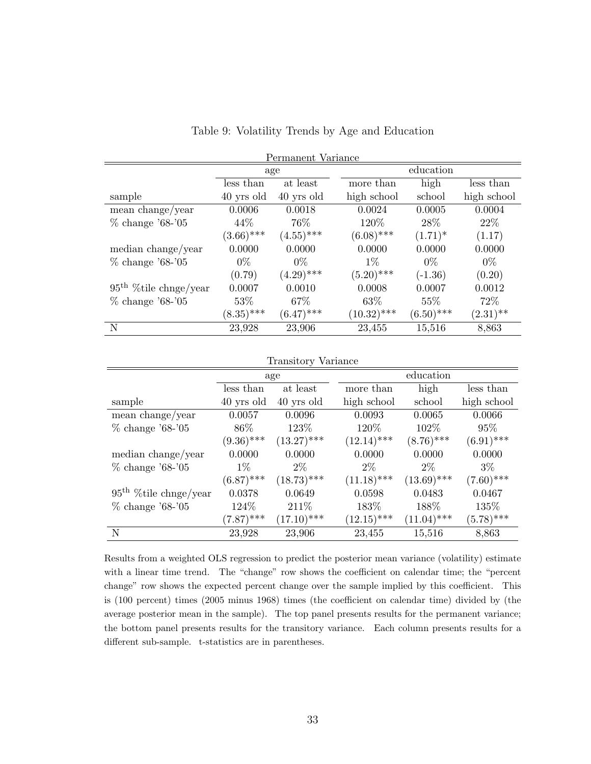| Permanent Variance       |              |              |               |              |             |  |
|--------------------------|--------------|--------------|---------------|--------------|-------------|--|
|                          |              | age          |               | education    |             |  |
|                          | less than    | at least     | more than     | high         | less than   |  |
| sample                   | 40 yrs old   | 40 yrs old   | high school   | school       | high school |  |
| mean change/year         | 0.0006       | 0.0018       | 0.0024        | 0.0005       | 0.0004      |  |
| $\%$ change '68-'05      | 44\%         | 76%          | 120\%         | 28\%         | 22%         |  |
|                          | $(3.66)$ *** | $(4.55)$ *** | $(6.08)$ ***  | $(1.71)^*$   | (1.17)      |  |
| median change/year       | 0.0000       | 0.0000       | 0.0000        | 0.0000       | 0.0000      |  |
| $\%$ change '68-'05      | $0\%$        | $0\%$        | $1\%$         | $0\%$        | $0\%$       |  |
|                          | (0.79)       | $(4.29)$ *** | $(5.20)$ ***  | $(-1.36)$    | (0.20)      |  |
| $95th$ % tile chnge/year | 0.0007       | 0.0010       | 0.0008        | 0.0007       | 0.0012      |  |
| $\%$ change '68-'05      | 53\%         | 67\%         | 63\%          | $55\%$       | 72\%        |  |
|                          | $(8.35)$ *** | $(6.47)$ *** | $(10.32)$ *** | $(6.50)$ *** | $(2.31)$ ** |  |
| N                        | 23,928       | 23,906       | 23,455        | 15,516       | 8,863       |  |

#### Table 9: Volatility Trends by Age and Education

| <b>Transitory Variance</b> |              |               |               |               |              |  |  |
|----------------------------|--------------|---------------|---------------|---------------|--------------|--|--|
|                            |              | age           |               | education     |              |  |  |
|                            | less than    | at least      | more than     | high          | less than    |  |  |
| sample                     | 40 yrs old   | 40 yrs old    | high school   | school        | high school  |  |  |
| mean change/year           | 0.0057       | 0.0096        | 0.0093        | 0.0065        | 0.0066       |  |  |
| $\%$ change '68-'05        | 86\%         | 123\%         | 120\%         | 102\%         | 95%          |  |  |
|                            | $(9.36)$ *** | $(13.27)$ *** | $(12.14)$ *** | $(8.76)$ ***  | $(6.91)$ *** |  |  |
| median change/year         | 0.0000       | 0.0000        | 0.0000        | 0.0000        | 0.0000       |  |  |
| $\%$ change '68-'05        | $1\%$        | $2\%$         | $2\%$         | $2\%$         | $3\%$        |  |  |
|                            | $(6.87)$ *** | $(18.73)$ *** | $(11.18)$ *** | $(13.69)$ *** | $(7.60)$ *** |  |  |
| $95th$ % tile chnge/year   | 0.0378       | 0.0649        | 0.0598        | 0.0483        | 0.0467       |  |  |
| $\%$ change '68-'05        | 124\%        | 211\%         | 183%          | 188%          | 135%         |  |  |
|                            | $(7.87)$ *** | $(17.10)$ *** | $(12.15)$ *** | $(11.04)$ *** | $(5.78)$ *** |  |  |
| N                          | 23,928       | 23,906        | 23,455        | 15,516        | 8,863        |  |  |

Results from a weighted OLS regression to predict the posterior mean variance (volatility) estimate with a linear time trend. The "change" row shows the coefficient on calendar time; the "percent change" row shows the expected percent change over the sample implied by this coefficient. This is (100 percent) times (2005 minus 1968) times (the coefficient on calendar time) divided by (the average posterior mean in the sample). The top panel presents results for the permanent variance; the bottom panel presents results for the transitory variance. Each column presents results for a different sub-sample. t-statistics are in parentheses.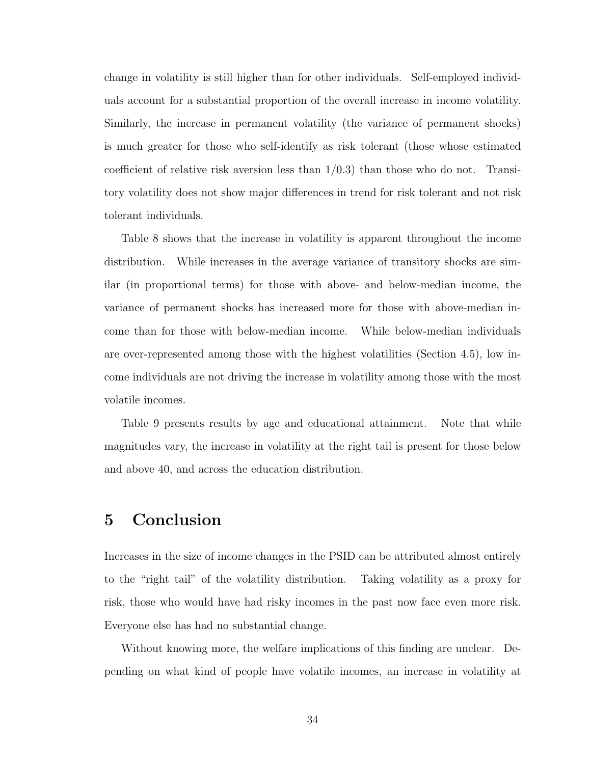change in volatility is still higher than for other individuals. Self-employed individuals account for a substantial proportion of the overall increase in income volatility. Similarly, the increase in permanent volatility (the variance of permanent shocks) is much greater for those who self-identify as risk tolerant (those whose estimated coefficient of relative risk aversion less than  $1/0.3$ ) than those who do not. Transitory volatility does not show major differences in trend for risk tolerant and not risk tolerant individuals.

Table 8 shows that the increase in volatility is apparent throughout the income distribution. While increases in the average variance of transitory shocks are similar (in proportional terms) for those with above- and below-median income, the variance of permanent shocks has increased more for those with above-median income than for those with below-median income. While below-median individuals are over-represented among those with the highest volatilities (Section 4.5), low income individuals are not driving the increase in volatility among those with the most volatile incomes.

Table 9 presents results by age and educational attainment. Note that while magnitudes vary, the increase in volatility at the right tail is present for those below and above 40, and across the education distribution.

## 5 Conclusion

Increases in the size of income changes in the PSID can be attributed almost entirely to the "right tail" of the volatility distribution. Taking volatility as a proxy for risk, those who would have had risky incomes in the past now face even more risk. Everyone else has had no substantial change.

Without knowing more, the welfare implications of this finding are unclear. Depending on what kind of people have volatile incomes, an increase in volatility at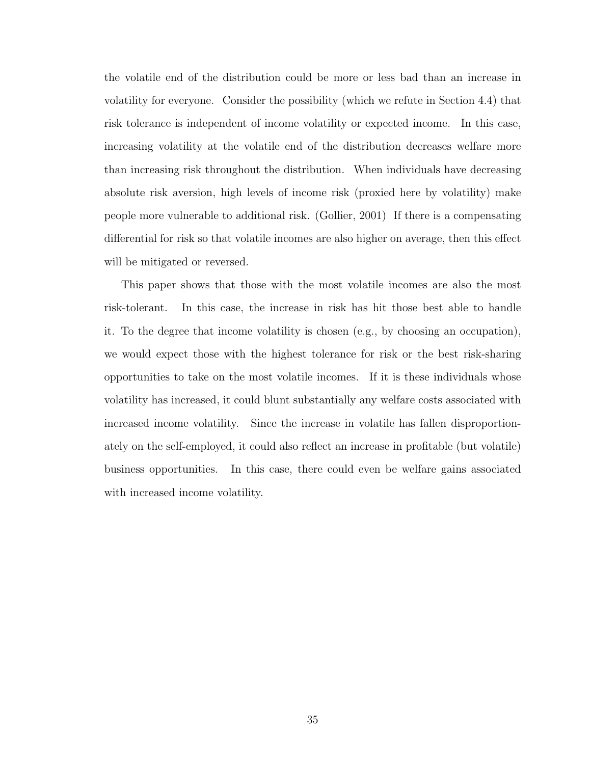the volatile end of the distribution could be more or less bad than an increase in volatility for everyone. Consider the possibility (which we refute in Section 4.4) that risk tolerance is independent of income volatility or expected income. In this case, increasing volatility at the volatile end of the distribution decreases welfare more than increasing risk throughout the distribution. When individuals have decreasing absolute risk aversion, high levels of income risk (proxied here by volatility) make people more vulnerable to additional risk. (Gollier, 2001) If there is a compensating differential for risk so that volatile incomes are also higher on average, then this effect will be mitigated or reversed.

This paper shows that those with the most volatile incomes are also the most risk-tolerant. In this case, the increase in risk has hit those best able to handle it. To the degree that income volatility is chosen (e.g., by choosing an occupation), we would expect those with the highest tolerance for risk or the best risk-sharing opportunities to take on the most volatile incomes. If it is these individuals whose volatility has increased, it could blunt substantially any welfare costs associated with increased income volatility. Since the increase in volatile has fallen disproportionately on the self-employed, it could also reflect an increase in profitable (but volatile) business opportunities. In this case, there could even be welfare gains associated with increased income volatility.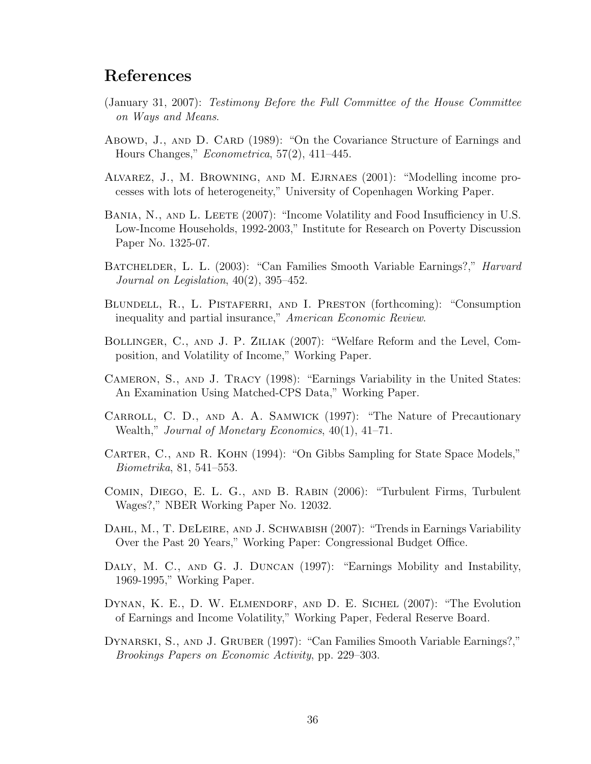## References

- (January 31, 2007): Testimony Before the Full Committee of the House Committee on Ways and Means.
- Abowd, J., AND D. CARD (1989): "On the Covariance Structure of Earnings and Hours Changes," Econometrica, 57(2), 411–445.
- Alvarez, J., M. Browning, and M. Ejrnaes (2001): "Modelling income processes with lots of heterogeneity," University of Copenhagen Working Paper.
- BANIA, N., AND L. LEETE (2007): "Income Volatility and Food Insufficiency in U.S. Low-Income Households, 1992-2003," Institute for Research on Poverty Discussion Paper No. 1325-07.
- BATCHELDER, L. L. (2003): "Can Families Smooth Variable Earnings?," *Harvard* Journal on Legislation, 40(2), 395–452.
- BLUNDELL, R., L. PISTAFERRI, AND I. PRESTON (forthcoming): "Consumption inequality and partial insurance," American Economic Review.
- Bollinger, C., and J. P. Ziliak (2007): "Welfare Reform and the Level, Composition, and Volatility of Income," Working Paper.
- Cameron, S., and J. Tracy (1998): "Earnings Variability in the United States: An Examination Using Matched-CPS Data," Working Paper.
- Carroll, C. D., and A. A. Samwick (1997): "The Nature of Precautionary Wealth," Journal of Monetary Economics, 40(1), 41–71.
- CARTER, C., AND R. KOHN (1994): "On Gibbs Sampling for State Space Models," Biometrika, 81, 541–553.
- Comin, Diego, E. L. G., and B. Rabin (2006): "Turbulent Firms, Turbulent Wages?," NBER Working Paper No. 12032.
- DAHL, M., T. DELEIRE, AND J. SCHWABISH (2007): "Trends in Earnings Variability Over the Past 20 Years," Working Paper: Congressional Budget Office.
- DALY, M. C., AND G. J. DUNCAN (1997): "Earnings Mobility and Instability, 1969-1995," Working Paper.
- DYNAN, K. E., D. W. ELMENDORF, AND D. E. SICHEL (2007): "The Evolution of Earnings and Income Volatility," Working Paper, Federal Reserve Board.
- Dynarski, S., and J. Gruber (1997): "Can Families Smooth Variable Earnings?," Brookings Papers on Economic Activity, pp. 229–303.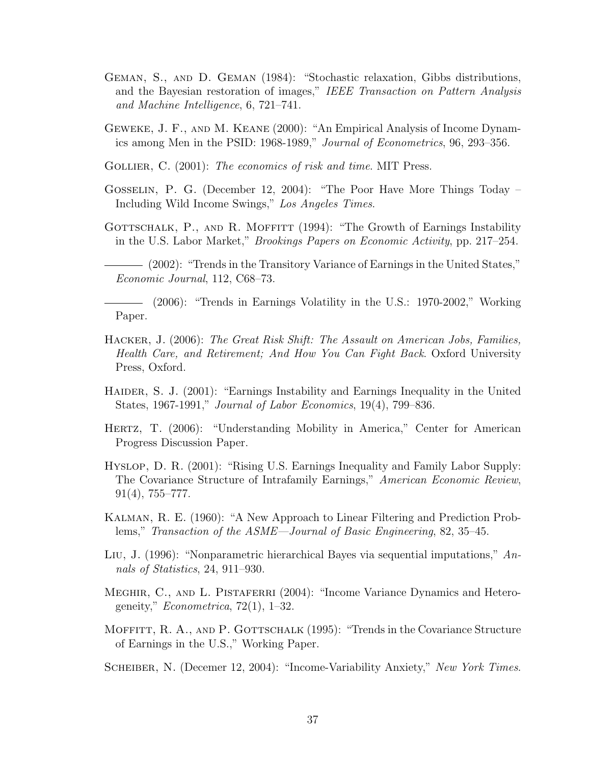- Geman, S., and D. Geman (1984): "Stochastic relaxation, Gibbs distributions, and the Bayesian restoration of images," IEEE Transaction on Pattern Analysis and Machine Intelligence, 6, 721–741.
- Geweke, J. F., and M. Keane (2000): "An Empirical Analysis of Income Dynamics among Men in the PSID: 1968-1989," Journal of Econometrics, 96, 293–356.
- GOLLIER, C. (2001): The economics of risk and time. MIT Press.
- Gosselin, P. G. (December 12, 2004): "The Poor Have More Things Today Including Wild Income Swings," Los Angeles Times.
- GOTTSCHALK, P., AND R. MOFFITT (1994): "The Growth of Earnings Instability in the U.S. Labor Market," Brookings Papers on Economic Activity, pp. 217–254.
	- (2002): "Trends in the Transitory Variance of Earnings in the United States," Economic Journal, 112, C68–73.
- (2006): "Trends in Earnings Volatility in the U.S.: 1970-2002," Working Paper.
- Hacker, J. (2006): The Great Risk Shift: The Assault on American Jobs, Families, Health Care, and Retirement; And How You Can Fight Back. Oxford University Press, Oxford.
- HAIDER, S. J. (2001): "Earnings Instability and Earnings Inequality in the United States, 1967-1991," Journal of Labor Economics, 19(4), 799–836.
- HERTZ, T. (2006): "Understanding Mobility in America," Center for American Progress Discussion Paper.
- Hyslop, D. R. (2001): "Rising U.S. Earnings Inequality and Family Labor Supply: The Covariance Structure of Intrafamily Earnings," American Economic Review, 91(4), 755–777.
- Kalman, R. E. (1960): "A New Approach to Linear Filtering and Prediction Problems," Transaction of the ASME—Journal of Basic Engineering, 82, 35–45.
- Liu, J. (1996): "Nonparametric hierarchical Bayes via sequential imputations," Annals of Statistics, 24, 911–930.
- MEGHIR, C., AND L. PISTAFERRI (2004): "Income Variance Dynamics and Heterogeneity,"  $Econometrica$ , 72(1), 1–32.
- MOFFITT, R. A., AND P. GOTTSCHALK (1995): "Trends in the Covariance Structure of Earnings in the U.S.," Working Paper.

SCHEIBER, N. (Decemer 12, 2004): "Income-Variability Anxiety," New York Times.